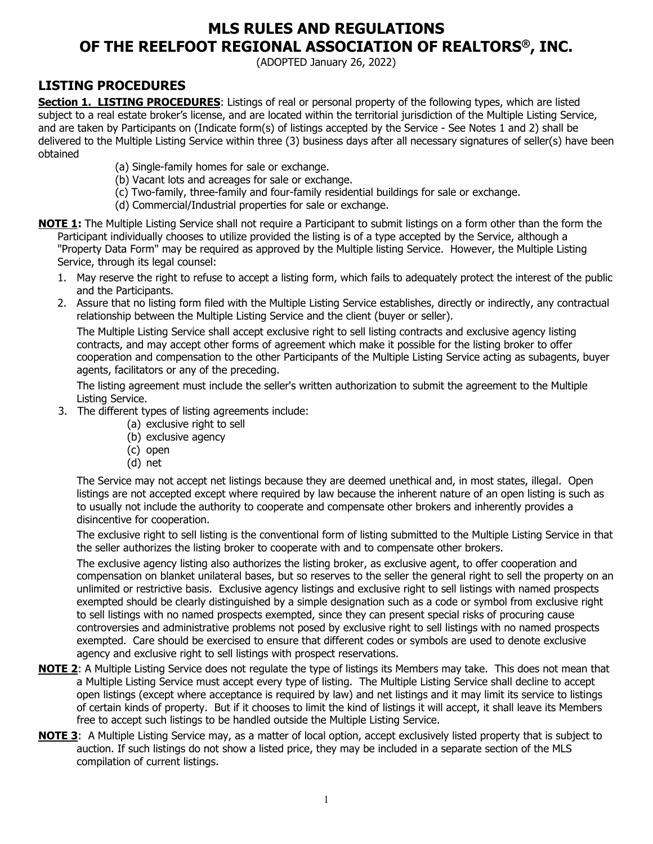# **MLS RULES AND REGULATIONS OF THE REELFOOT REGIONAL ASSOCIATION OF REALTORS®, INC.**

(ADOPTED January 26, 2022)

## **LISTING PROCEDURES**

**Section 1. LISTING PROCEDURES**: Listings of real or personal property of the following types, which are listed subject to a real estate broker's license, and are located within the territorial jurisdiction of the Multiple Listing Service, and are taken by Participants on (Indicate form(s) of listings accepted by the Service - See Notes 1 and 2) shall be delivered to the Multiple Listing Service within three (3) business days after all necessary signatures of seller(s) have been obtained

- (a) Single-family homes for sale or exchange.
- (b) Vacant lots and acreages for sale or exchange.
- (c) Two-family, three-family and four-family residential buildings for sale or exchange.
- (d) Commercial/Industrial properties for sale or exchange.
- **NOTE 1:** The Multiple Listing Service shall not require a Participant to submit listings on a form other than the form the Participant individually chooses to utilize provided the listing is of a type accepted by the Service, although a "Property Data Form" may be required as approved by the Multiple listing Service. However, the Multiple Listing Service, through its legal counsel:
	- 1. May reserve the right to refuse to accept a listing form, which fails to adequately protect the interest of the public and the Participants.
	- 2. Assure that no listing form filed with the Multiple Listing Service establishes, directly or indirectly, any contractual relationship between the Multiple Listing Service and the client (buyer or seller).

The Multiple Listing Service shall accept exclusive right to sell listing contracts and exclusive agency listing contracts, and may accept other forms of agreement which make it possible for the listing broker to offer cooperation and compensation to the other Participants of the Multiple Listing Service acting as subagents, buyer agents, facilitators or any of the preceding.

The listing agreement must include the seller's written authorization to submit the agreement to the Multiple Listing Service.

- 3. The different types of listing agreements include:
	- (a) exclusive right to sell
	- (b) exclusive agency
	- (c) open
	- (d) net

The Service may not accept net listings because they are deemed unethical and, in most states, illegal. Open listings are not accepted except where required by law because the inherent nature of an open listing is such as to usually not include the authority to cooperate and compensate other brokers and inherently provides a disincentive for cooperation.

The exclusive right to sell listing is the conventional form of listing submitted to the Multiple Listing Service in that the seller authorizes the listing broker to cooperate with and to compensate other brokers.

The exclusive agency listing also authorizes the listing broker, as exclusive agent, to offer cooperation and compensation on blanket unilateral bases, but so reserves to the seller the general right to sell the property on an unlimited or restrictive basis. Exclusive agency listings and exclusive right to sell listings with named prospects exempted should be clearly distinguished by a simple designation such as a code or symbol from exclusive right to sell listings with no named prospects exempted, since they can present special risks of procuring cause controversies and administrative problems not posed by exclusive right to sell listings with no named prospects exempted. Care should be exercised to ensure that different codes or symbols are used to denote exclusive agency and exclusive right to sell listings with prospect reservations.

- **NOTE 2**: A Multiple Listing Service does not regulate the type of listings its Members may take. This does not mean that a Multiple Listing Service must accept every type of listing. The Multiple Listing Service shall decline to accept open listings (except where acceptance is required by law) and net listings and it may limit its service to listings of certain kinds of property. But if it chooses to limit the kind of listings it will accept, it shall leave its Members free to accept such listings to be handled outside the Multiple Listing Service.
- **NOTE 3**: A Multiple Listing Service may, as a matter of local option, accept exclusively listed property that is subject to auction. If such listings do not show a listed price, they may be included in a separate section of the MLS compilation of current listings.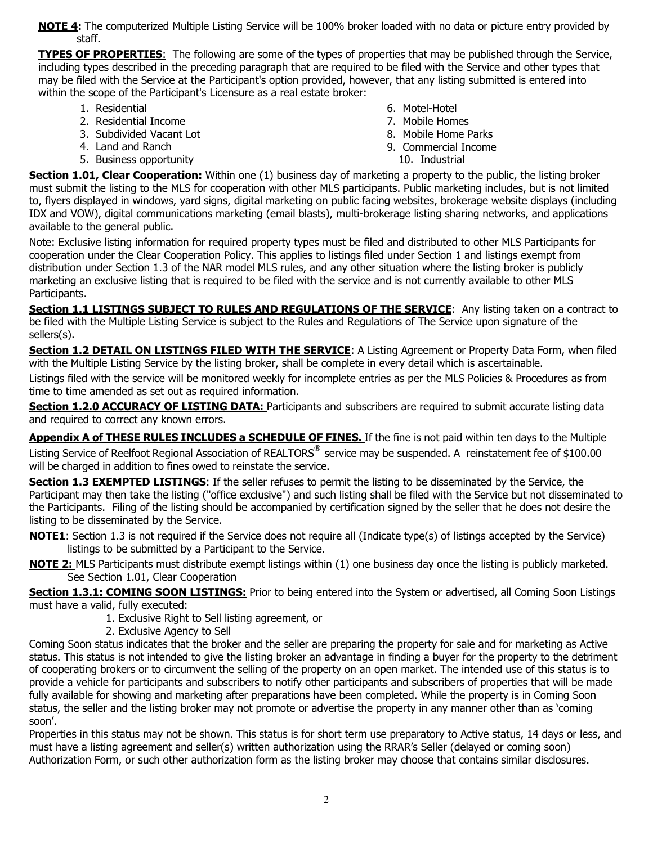**NOTE 4:** The computerized Multiple Listing Service will be 100% broker loaded with no data or picture entry provided by staff.

**TYPES OF PROPERTIES**: The following are some of the types of properties that may be published through the Service, including types described in the preceding paragraph that are required to be filed with the Service and other types that may be filed with the Service at the Participant's option provided, however, that any listing submitted is entered into within the scope of the Participant's Licensure as a real estate broker:

- 1. Residential
- 2. Residential Income
- 3. Subdivided Vacant Lot
- 4. Land and Ranch
- 5. Business opportunity
- 6. Motel-Hotel
- 7. Mobile Homes
- 8. Mobile Home Parks
- 9. Commercial Income
	- 10. Industrial

**Section 1.01, Clear Cooperation:** Within one (1) business day of marketing a property to the public, the listing broker must submit the listing to the MLS for cooperation with other MLS participants. Public marketing includes, but is not limited to, flyers displayed in windows, yard signs, digital marketing on public facing websites, brokerage website displays (including IDX and VOW), digital communications marketing (email blasts), multi-brokerage listing sharing networks, and applications available to the general public.

Note: Exclusive listing information for required property types must be filed and distributed to other MLS Participants for cooperation under the Clear Cooperation Policy. This applies to listings filed under Section 1 and listings exempt from distribution under Section 1.3 of the NAR model MLS rules, and any other situation where the listing broker is publicly marketing an exclusive listing that is required to be filed with the service and is not currently available to other MLS Participants.

**Section 1.1 LISTINGS SUBJECT TO RULES AND REGULATIONS OF THE SERVICE**: Any listing taken on a contract to be filed with the Multiple Listing Service is subject to the Rules and Regulations of The Service upon signature of the sellers(s).

**Section 1.2 DETAIL ON LISTINGS FILED WITH THE SERVICE**: A Listing Agreement or Property Data Form, when filed with the Multiple Listing Service by the listing broker, shall be complete in every detail which is ascertainable.

Listings filed with the service will be monitored weekly for incomplete entries as per the MLS Policies & Procedures as from time to time amended as set out as required information.

**Section 1.2.0 ACCURACY OF LISTING DATA:** Participants and subscribers are required to submit accurate listing data and required to correct any known errors.

**Appendix A of THESE RULES INCLUDES a SCHEDULE OF FINES.** If the fine is not paid within ten days to the Multiple Listing Service of Reelfoot Regional Association of REALTORS® service may be suspended. A reinstatement fee of \$100.00 will be charged in addition to fines owed to reinstate the service.

**Section 1.3 EXEMPTED LISTINGS:** If the seller refuses to permit the listing to be disseminated by the Service, the Participant may then take the listing ("office exclusive") and such listing shall be filed with the Service but not disseminated to the Participants. Filing of the listing should be accompanied by certification signed by the seller that he does not desire the listing to be disseminated by the Service.

**NOTE1**: Section 1.3 is not required if the Service does not require all (Indicate type(s) of listings accepted by the Service) listings to be submitted by a Participant to the Service.

**NOTE 2:** MLS Participants must distribute exempt listings within (1) one business day once the listing is publicly marketed. See Section 1.01, Clear Cooperation

**Section 1.3.1: COMING SOON LISTINGS:** Prior to being entered into the System or advertised, all Coming Soon Listings must have a valid, fully executed:

- 1. Exclusive Right to Sell listing agreement, or
- 2. Exclusive Agency to Sell

Coming Soon status indicates that the broker and the seller are preparing the property for sale and for marketing as Active status. This status is not intended to give the listing broker an advantage in finding a buyer for the property to the detriment of cooperating brokers or to circumvent the selling of the property on an open market. The intended use of this status is to provide a vehicle for participants and subscribers to notify other participants and subscribers of properties that will be made fully available for showing and marketing after preparations have been completed. While the property is in Coming Soon status, the seller and the listing broker may not promote or advertise the property in any manner other than as 'coming soon'.

Properties in this status may not be shown. This status is for short term use preparatory to Active status, 14 days or less, and must have a listing agreement and seller(s) written authorization using the RRAR's Seller (delayed or coming soon) Authorization Form, or such other authorization form as the listing broker may choose that contains similar disclosures.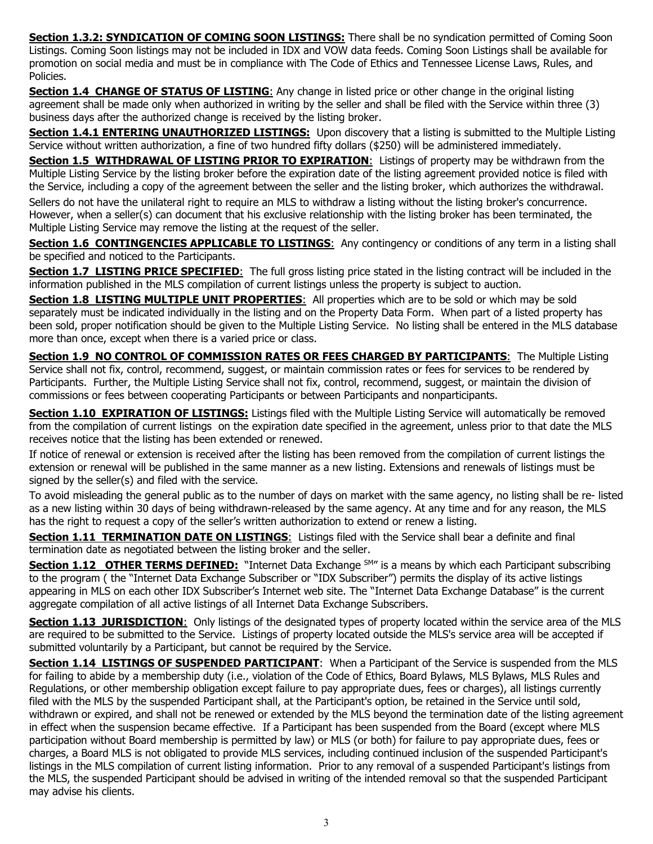**Section 1.3.2: SYNDICATION OF COMING SOON LISTINGS:** There shall be no syndication permitted of Coming Soon Listings. Coming Soon listings may not be included in IDX and VOW data feeds. Coming Soon Listings shall be available for promotion on social media and must be in compliance with The Code of Ethics and Tennessee License Laws, Rules, and Policies.

**Section 1.4 CHANGE OF STATUS OF LISTING:** Any change in listed price or other change in the original listing agreement shall be made only when authorized in writing by the seller and shall be filed with the Service within three (3) business days after the authorized change is received by the listing broker.

**Section 1.4.1 ENTERING UNAUTHORIZED LISTINGS:** Upon discovery that a listing is submitted to the Multiple Listing Service without written authorization, a fine of two hundred fifty dollars (\$250) will be administered immediately.

**Section 1.5 WITHDRAWAL OF LISTING PRIOR TO EXPIRATION**: Listings of property may be withdrawn from the Multiple Listing Service by the listing broker before the expiration date of the listing agreement provided notice is filed with the Service, including a copy of the agreement between the seller and the listing broker, which authorizes the withdrawal.

Sellers do not have the unilateral right to require an MLS to withdraw a listing without the listing broker's concurrence. However, when a seller(s) can document that his exclusive relationship with the listing broker has been terminated, the Multiple Listing Service may remove the listing at the request of the seller.

**Section 1.6 CONTINGENCIES APPLICABLE TO LISTINGS:** Any contingency or conditions of any term in a listing shall be specified and noticed to the Participants.

**Section 1.7 LISTING PRICE SPECIFIED:** The full gross listing price stated in the listing contract will be included in the information published in the MLS compilation of current listings unless the property is subject to auction.

**Section 1.8 LISTING MULTIPLE UNIT PROPERTIES**: All properties which are to be sold or which may be sold separately must be indicated individually in the listing and on the Property Data Form. When part of a listed property has been sold, proper notification should be given to the Multiple Listing Service. No listing shall be entered in the MLS database more than once, except when there is a varied price or class.

**Section 1.9 NO CONTROL OF COMMISSION RATES OR FEES CHARGED BY PARTICIPANTS:** The Multiple Listing Service shall not fix, control, recommend, suggest, or maintain commission rates or fees for services to be rendered by Participants. Further, the Multiple Listing Service shall not fix, control, recommend, suggest, or maintain the division of commissions or fees between cooperating Participants or between Participants and nonparticipants.

**Section 1.10 EXPIRATION OF LISTINGS:** Listings filed with the Multiple Listing Service will automatically be removed from the compilation of current listings on the expiration date specified in the agreement, unless prior to that date the MLS receives notice that the listing has been extended or renewed.

If notice of renewal or extension is received after the listing has been removed from the compilation of current listings the extension or renewal will be published in the same manner as a new listing. Extensions and renewals of listings must be signed by the seller(s) and filed with the service.

To avoid misleading the general public as to the number of days on market with the same agency, no listing shall be re- listed as a new listing within 30 days of being withdrawn-released by the same agency. At any time and for any reason, the MLS has the right to request a copy of the seller's written authorization to extend or renew a listing.

**Section 1.11 TERMINATION DATE ON LISTINGS:** Listings filed with the Service shall bear a definite and final termination date as negotiated between the listing broker and the seller.

**Section 1.12 OTHER TERMS DEFINED:** "Internet Data Exchange SM" is a means by which each Participant subscribing to the program ( the "Internet Data Exchange Subscriber or "IDX Subscriber") permits the display of its active listings appearing in MLS on each other IDX Subscriber's Internet web site. The "Internet Data Exchange Database" is the current aggregate compilation of all active listings of all Internet Data Exchange Subscribers.

**Section 1.13 JURISDICTION:** Only listings of the designated types of property located within the service area of the MLS are required to be submitted to the Service. Listings of property located outside the MLS's service area will be accepted if submitted voluntarily by a Participant, but cannot be required by the Service.

**Section 1.14 LISTINGS OF SUSPENDED PARTICIPANT**: When a Participant of the Service is suspended from the MLS for failing to abide by a membership duty (i.e., violation of the Code of Ethics, Board Bylaws, MLS Bylaws, MLS Rules and Regulations, or other membership obligation except failure to pay appropriate dues, fees or charges), all listings currently filed with the MLS by the suspended Participant shall, at the Participant's option, be retained in the Service until sold, withdrawn or expired, and shall not be renewed or extended by the MLS beyond the termination date of the listing agreement in effect when the suspension became effective. If a Participant has been suspended from the Board (except where MLS participation without Board membership is permitted by law) or MLS (or both) for failure to pay appropriate dues, fees or charges, a Board MLS is not obligated to provide MLS services, including continued inclusion of the suspended Participant's listings in the MLS compilation of current listing information. Prior to any removal of a suspended Participant's listings from the MLS, the suspended Participant should be advised in writing of the intended removal so that the suspended Participant may advise his clients.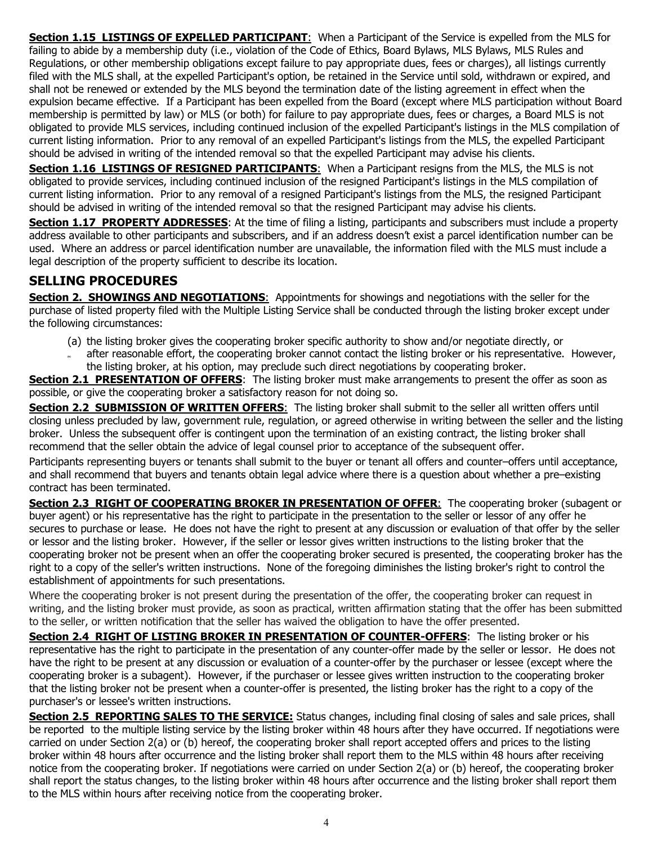**Section 1.15 LISTINGS OF EXPELLED PARTICIPANT:** When a Participant of the Service is expelled from the MLS for failing to abide by a membership duty (i.e., violation of the Code of Ethics, Board Bylaws, MLS Bylaws, MLS Rules and Regulations, or other membership obligations except failure to pay appropriate dues, fees or charges), all listings currently filed with the MLS shall, at the expelled Participant's option, be retained in the Service until sold, withdrawn or expired, and shall not be renewed or extended by the MLS beyond the termination date of the listing agreement in effect when the expulsion became effective. If a Participant has been expelled from the Board (except where MLS participation without Board membership is permitted by law) or MLS (or both) for failure to pay appropriate dues, fees or charges, a Board MLS is not obligated to provide MLS services, including continued inclusion of the expelled Participant's listings in the MLS compilation of current listing information. Prior to any removal of an expelled Participant's listings from the MLS, the expelled Participant should be advised in writing of the intended removal so that the expelled Participant may advise his clients.

**Section 1.16 LISTINGS OF RESIGNED PARTICIPANTS:** When a Participant resigns from the MLS, the MLS is not obligated to provide services, including continued inclusion of the resigned Participant's listings in the MLS compilation of current listing information. Prior to any removal of a resigned Participant's listings from the MLS, the resigned Participant should be advised in writing of the intended removal so that the resigned Participant may advise his clients.

**Section 1.17 PROPERTY ADDRESSES**: At the time of filing a listing, participants and subscribers must include a property address available to other participants and subscribers, and if an address doesn't exist a parcel identification number can be used. Where an address or parcel identification number are unavailable, the information filed with the MLS must include a legal description of the property sufficient to describe its location.

## **SELLING PROCEDURES**

**Section 2. SHOWINGS AND NEGOTIATIONS:** Appointments for showings and negotiations with the seller for the purchase of listed property filed with the Multiple Listing Service shall be conducted through the listing broker except under the following circumstances:

- (a) the listing broker gives the cooperating broker specific authority to show and/or negotiate directly, or
- **(b)** after reasonable effort, the cooperating broker cannot contact the listing broker or his representative. However, the listing broker, at his option, may preclude such direct negotiations by cooperating broker.

**Section 2.1 PRESENTATION OF OFFERS:** The listing broker must make arrangements to present the offer as soon as possible, or give the cooperating broker a satisfactory reason for not doing so.

**Section 2.2 SUBMISSION OF WRITTEN OFFERS**: The listing broker shall submit to the seller all written offers until closing unless precluded by law, government rule, regulation, or agreed otherwise in writing between the seller and the listing broker. Unless the subsequent offer is contingent upon the termination of an existing contract, the listing broker shall recommend that the seller obtain the advice of legal counsel prior to acceptance of the subsequent offer.

Participants representing buyers or tenants shall submit to the buyer or tenant all offers and counter–offers until acceptance, and shall recommend that buyers and tenants obtain legal advice where there is a question about whether a pre–existing contract has been terminated.

**Section 2.3 RIGHT OF COOPERATING BROKER IN PRESENTATlON OF OFFER**: The cooperating broker (subagent or buyer agent) or his representative has the right to participate in the presentation to the seller or lessor of any offer he secures to purchase or lease. He does not have the right to present at any discussion or evaluation of that offer by the seller or lessor and the listing broker. However, if the seller or lessor gives written instructions to the listing broker that the cooperating broker not be present when an offer the cooperating broker secured is presented, the cooperating broker has the right to a copy of the seller's written instructions. None of the foregoing diminishes the listing broker's right to control the establishment of appointments for such presentations.

Where the cooperating broker is not present during the presentation of the offer, the cooperating broker can request in writing, and the listing broker must provide, as soon as practical, written affirmation stating that the offer has been submitted to the seller, or written notification that the seller has waived the obligation to have the offer presented.

**Section 2.4 RIGHT OF LISTING BROKER IN PRESENTATlON OF COUNTER-OFFERS**: The listing broker or his representative has the right to participate in the presentation of any counter-offer made by the seller or lessor. He does not have the right to be present at any discussion or evaluation of a counter-offer by the purchaser or lessee (except where the cooperating broker is a subagent). However, if the purchaser or lessee gives written instruction to the cooperating broker that the listing broker not be present when a counter-offer is presented, the listing broker has the right to a copy of the purchaser's or lessee's written instructions.

**Section 2.5 REPORTING SALES TO THE SERVICE:** Status changes, including final closing of sales and sale prices, shall be reported to the multiple listing service by the listing broker within 48 hours after they have occurred. If negotiations were carried on under Section 2(a) or (b) hereof, the cooperating broker shall report accepted offers and prices to the listing broker within 48 hours after occurrence and the listing broker shall report them to the MLS within 48 hours after receiving notice from the cooperating broker. If negotiations were carried on under Section 2(a) or (b) hereof, the cooperating broker shall report the status changes, to the listing broker within 48 hours after occurrence and the listing broker shall report them to the MLS within hours after receiving notice from the cooperating broker.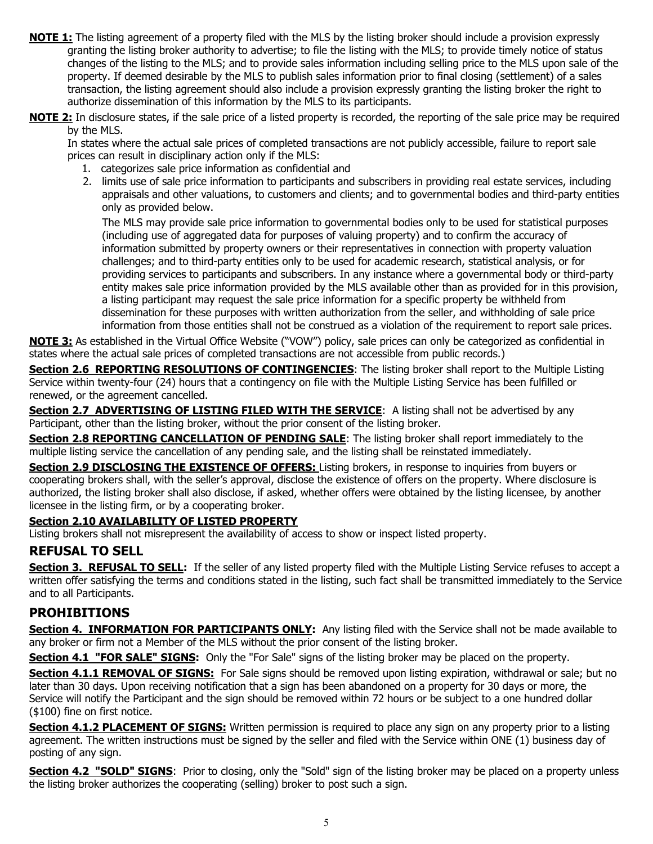- **NOTE 1:** The listing agreement of a property filed with the MLS by the listing broker should include a provision expressly granting the listing broker authority to advertise; to file the listing with the MLS; to provide timely notice of status changes of the listing to the MLS; and to provide sales information including selling price to the MLS upon sale of the property. If deemed desirable by the MLS to publish sales information prior to final closing (settlement) of a sales transaction, the listing agreement should also include a provision expressly granting the listing broker the right to authorize dissemination of this information by the MLS to its participants.
- **NOTE 2:** In disclosure states, if the sale price of a listed property is recorded, the reporting of the sale price may be required by the MLS.

In states where the actual sale prices of completed transactions are not publicly accessible, failure to report sale prices can result in disciplinary action only if the MLS:

- 1. categorizes sale price information as confidential and
- 2. limits use of sale price information to participants and subscribers in providing real estate services, including appraisals and other valuations, to customers and clients; and to governmental bodies and third-party entities only as provided below.

The MLS may provide sale price information to governmental bodies only to be used for statistical purposes (including use of aggregated data for purposes of valuing property) and to confirm the accuracy of information submitted by property owners or their representatives in connection with property valuation challenges; and to third-party entities only to be used for academic research, statistical analysis, or for providing services to participants and subscribers. In any instance where a governmental body or third-party entity makes sale price information provided by the MLS available other than as provided for in this provision, a listing participant may request the sale price information for a specific property be withheld from dissemination for these purposes with written authorization from the seller, and withholding of sale price information from those entities shall not be construed as a violation of the requirement to report sale prices.

**NOTE 3:** As established in the Virtual Office Website ("VOW") policy, sale prices can only be categorized as confidential in states where the actual sale prices of completed transactions are not accessible from public records.)

**Section 2.6 REPORTING RESOLUTIONS OF CONTINGENCIES:** The listing broker shall report to the Multiple Listing Service within twenty-four (24) hours that a contingency on file with the Multiple Listing Service has been fulfilled or renewed, or the agreement cancelled.

**Section 2.7 ADVERTISING OF LISTING FILED WITH THE SERVICE:** A listing shall not be advertised by any Participant, other than the listing broker, without the prior consent of the listing broker.

**Section 2.8 REPORTING CANCELLATION OF PENDING SALE**: The listing broker shall report immediately to the multiple listing service the cancellation of any pending sale, and the listing shall be reinstated immediately.

**Section 2.9 DISCLOSING THE EXISTENCE OF OFFERS:** Listing brokers, in response to inquiries from buyers or cooperating brokers shall, with the seller's approval, disclose the existence of offers on the property. Where disclosure is authorized, the listing broker shall also disclose, if asked, whether offers were obtained by the listing licensee, by another licensee in the listing firm, or by a cooperating broker.

#### **Section 2.10 AVAILABILITY OF LISTED PROPERTY**

Listing brokers shall not misrepresent the availability of access to show or inspect listed property.

## **REFUSAL TO SELL**

**Section 3. REFUSAL TO SELL:** If the seller of any listed property filed with the Multiple Listing Service refuses to accept a written offer satisfying the terms and conditions stated in the listing, such fact shall be transmitted immediately to the Service and to all Participants.

#### **PROHIBITIONS**

**Section 4. INFORMATION FOR PARTICIPANTS ONLY:** Any listing filed with the Service shall not be made available to any broker or firm not a Member of the MLS without the prior consent of the listing broker.

**Section 4.1 "FOR SALE" SIGNS:** Only the "For Sale" signs of the listing broker may be placed on the property.

**Section 4.1.1 REMOVAL OF SIGNS:** For Sale signs should be removed upon listing expiration, withdrawal or sale; but no later than 30 days. Upon receiving notification that a sign has been abandoned on a property for 30 days or more, the Service will notify the Participant and the sign should be removed within 72 hours or be subject to a one hundred dollar (\$100) fine on first notice.

**Section 4.1.2 PLACEMENT OF SIGNS:** Written permission is required to place any sign on any property prior to a listing agreement. The written instructions must be signed by the seller and filed with the Service within ONE (1) business day of posting of any sign.

**Section 4.2 "SOLD" SIGNS**: Prior to closing, only the "Sold" sign of the listing broker may be placed on a property unless the listing broker authorizes the cooperating (selling) broker to post such a sign.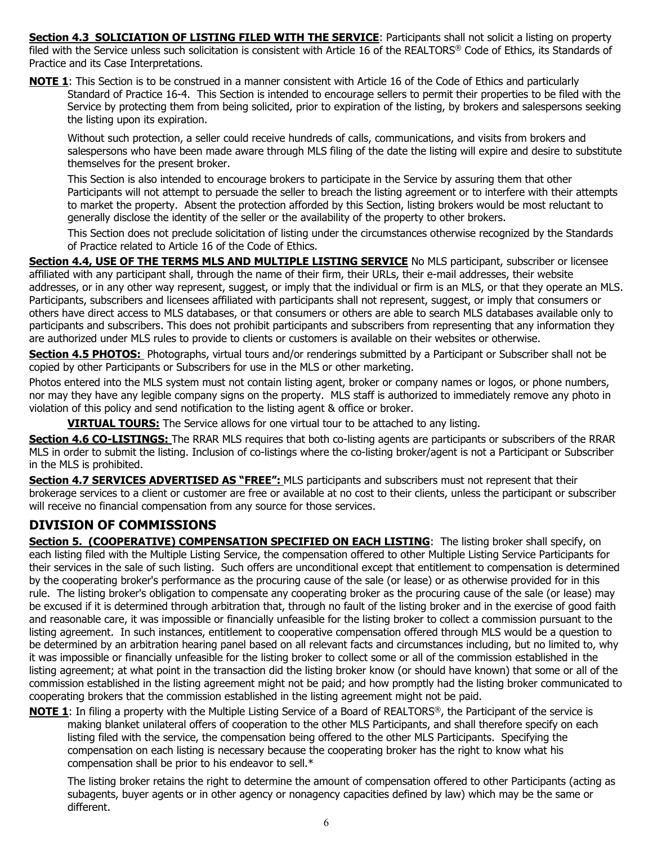**Section 4.3 SOLICIATION OF LISTING FILED WITH THE SERVICE: Participants shall not solicit a listing on property** filed with the Service unless such solicitation is consistent with Article 16 of the REALTORS® Code of Ethics, its Standards of Practice and its Case Interpretations.

**NOTE 1**: This Section is to be construed in a manner consistent with Article 16 of the Code of Ethics and particularly Standard of Practice 16-4. This Section is intended to encourage sellers to permit their properties to be filed with the Service by protecting them from being solicited, prior to expiration of the listing, by brokers and salespersons seeking the listing upon its expiration.

Without such protection, a seller could receive hundreds of calls, communications, and visits from brokers and salespersons who have been made aware through MLS filing of the date the listing will expire and desire to substitute themselves for the present broker.

This Section is also intended to encourage brokers to participate in the Service by assuring them that other Participants will not attempt to persuade the seller to breach the listing agreement or to interfere with their attempts to market the property. Absent the protection afforded by this Section, listing brokers would be most reluctant to generally disclose the identity of the seller or the availability of the property to other brokers.

This Section does not preclude solicitation of listing under the circumstances otherwise recognized by the Standards of Practice related to Article 16 of the Code of Ethics.

**Section 4.4, USE OF THE TERMS MLS AND MULTIPLE LISTING SERVICE** No MLS participant, subscriber or licensee affiliated with any participant shall, through the name of their firm, their URLs, their e-mail addresses, their website addresses, or in any other way represent, suggest, or imply that the individual or firm is an MLS, or that they operate an MLS. Participants, subscribers and licensees affiliated with participants shall not represent, suggest, or imply that consumers or others have direct access to MLS databases, or that consumers or others are able to search MLS databases available only to participants and subscribers. This does not prohibit participants and subscribers from representing that any information they are authorized under MLS rules to provide to clients or customers is available on their websites or otherwise.

**Section 4.5 PHOTOS:** Photographs, virtual tours and/or renderings submitted by a Participant or Subscriber shall not be copied by other Participants or Subscribers for use in the MLS or other marketing.

Photos entered into the MLS system must not contain listing agent, broker or company names or logos, or phone numbers, nor may they have any legible company signs on the property. MLS staff is authorized to immediately remove any photo in violation of this policy and send notification to the listing agent & office or broker.

**VIRTUAL TOURS:** The Service allows for one virtual tour to be attached to any listing.

**Section 4.6 CO-LISTINGS:** The RRAR MLS requires that both co-listing agents are participants or subscribers of the RRAR MLS in order to submit the listing. Inclusion of co-listings where the co-listing broker/agent is not a Participant or Subscriber in the MLS is prohibited.

**Section 4.7 SERVICES ADVERTISED AS "FREE":** MLS participants and subscribers must not represent that their brokerage services to a client or customer are free or available at no cost to their clients, unless the participant or subscriber will receive no financial compensation from any source for those services.

## **DIVISION OF COMMISSIONS**

**Section 5. (COOPERATIVE) COMPENSATION SPECIFIED ON EACH LISTING:** The listing broker shall specify, on each listing filed with the Multiple Listing Service, the compensation offered to other Multiple Listing Service Participants for their services in the sale of such listing. Such offers are unconditional except that entitlement to compensation is determined by the cooperating broker's performance as the procuring cause of the sale (or lease) or as otherwise provided for in this rule. The listing broker's obligation to compensate any cooperating broker as the procuring cause of the sale (or lease) may be excused if it is determined through arbitration that, through no fault of the listing broker and in the exercise of good faith and reasonable care, it was impossible or financially unfeasible for the listing broker to collect a commission pursuant to the listing agreement. In such instances, entitlement to cooperative compensation offered through MLS would be a question to be determined by an arbitration hearing panel based on all relevant facts and circumstances including, but no limited to, why it was impossible or financially unfeasible for the listing broker to collect some or all of the commission established in the listing agreement; at what point in the transaction did the listing broker know (or should have known) that some or all of the commission established in the listing agreement might not be paid; and how promptly had the listing broker communicated to cooperating brokers that the commission established in the listing agreement might not be paid.

**NOTE 1**: In filing a property with the Multiple Listing Service of a Board of REALTORS®, the Participant of the service is making blanket unilateral offers of cooperation to the other MLS Participants, and shall therefore specify on each listing filed with the service, the compensation being offered to the other MLS Participants. Specifying the compensation on each listing is necessary because the cooperating broker has the right to know what his compensation shall be prior to his endeavor to sell.\*

The listing broker retains the right to determine the amount of compensation offered to other Participants (acting as subagents, buyer agents or in other agency or nonagency capacities defined by law) which may be the same or different.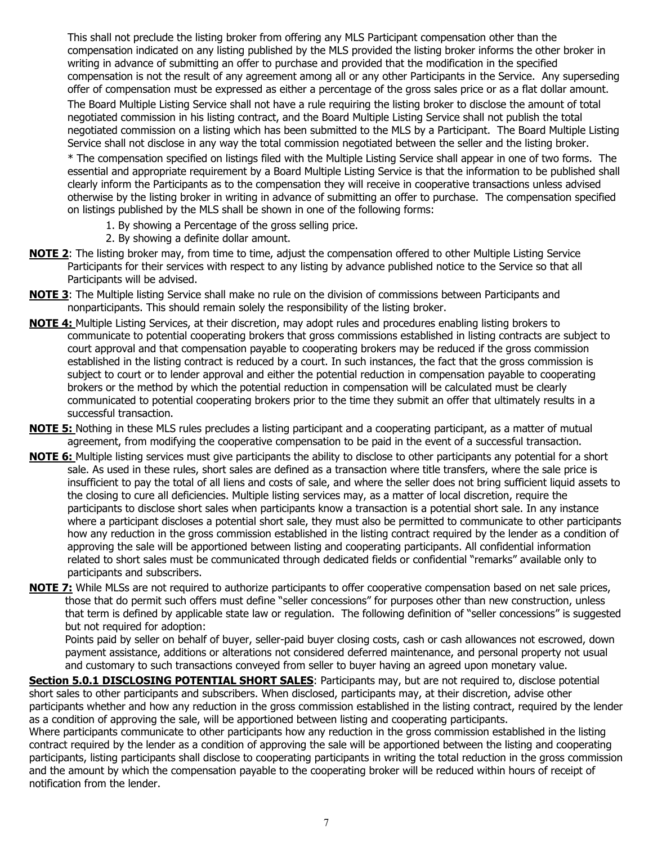This shall not preclude the listing broker from offering any MLS Participant compensation other than the compensation indicated on any listing published by the MLS provided the listing broker informs the other broker in writing in advance of submitting an offer to purchase and provided that the modification in the specified compensation is not the result of any agreement among all or any other Participants in the Service. Any superseding offer of compensation must be expressed as either a percentage of the gross sales price or as a flat dollar amount. The Board Multiple Listing Service shall not have a rule requiring the listing broker to disclose the amount of total negotiated commission in his listing contract, and the Board Multiple Listing Service shall not publish the total negotiated commission on a listing which has been submitted to the MLS by a Participant. The Board Multiple Listing Service shall not disclose in any way the total commission negotiated between the seller and the listing broker.

\* The compensation specified on listings filed with the Multiple Listing Service shall appear in one of two forms. The essential and appropriate requirement by a Board Multiple Listing Service is that the information to be published shall clearly inform the Participants as to the compensation they will receive in cooperative transactions unless advised otherwise by the listing broker in writing in advance of submitting an offer to purchase. The compensation specified on listings published by the MLS shall be shown in one of the following forms:

- 1. By showing a Percentage of the gross selling price.
- 2. By showing a definite dollar amount.
- **NOTE 2**: The listing broker may, from time to time, adjust the compensation offered to other Multiple Listing Service Participants for their services with respect to any listing by advance published notice to the Service so that all Participants will be advised.
- **NOTE 3**: The Multiple listing Service shall make no rule on the division of commissions between Participants and nonparticipants. This should remain solely the responsibility of the listing broker.
- **NOTE 4:** Multiple Listing Services, at their discretion, may adopt rules and procedures enabling listing brokers to communicate to potential cooperating brokers that gross commissions established in listing contracts are subject to court approval and that compensation payable to cooperating brokers may be reduced if the gross commission established in the listing contract is reduced by a court. In such instances, the fact that the gross commission is subject to court or to lender approval and either the potential reduction in compensation payable to cooperating brokers or the method by which the potential reduction in compensation will be calculated must be clearly communicated to potential cooperating brokers prior to the time they submit an offer that ultimately results in a successful transaction.
- **NOTE 5:** Nothing in these MLS rules precludes a listing participant and a cooperating participant, as a matter of mutual agreement, from modifying the cooperative compensation to be paid in the event of a successful transaction.
- **NOTE 6:** Multiple listing services must give participants the ability to disclose to other participants any potential for a short sale. As used in these rules, short sales are defined as a transaction where title transfers, where the sale price is insufficient to pay the total of all liens and costs of sale, and where the seller does not bring sufficient liquid assets to the closing to cure all deficiencies. Multiple listing services may, as a matter of local discretion, require the participants to disclose short sales when participants know a transaction is a potential short sale. In any instance where a participant discloses a potential short sale, they must also be permitted to communicate to other participants how any reduction in the gross commission established in the listing contract required by the lender as a condition of approving the sale will be apportioned between listing and cooperating participants. All confidential information related to short sales must be communicated through dedicated fields or confidential "remarks" available only to participants and subscribers.
- **NOTE 7:** While MLSs are not required to authorize participants to offer cooperative compensation based on net sale prices, those that do permit such offers must define "seller concessions" for purposes other than new construction, unless that term is defined by applicable state law or regulation. The following definition of "seller concessions" is suggested but not required for adoption:

Points paid by seller on behalf of buyer, seller-paid buyer closing costs, cash or cash allowances not escrowed, down payment assistance, additions or alterations not considered deferred maintenance, and personal property not usual and customary to such transactions conveyed from seller to buyer having an agreed upon monetary value.

**Section 5.0.1 DISCLOSING POTENTIAL SHORT SALES:** Participants may, but are not required to, disclose potential short sales to other participants and subscribers. When disclosed, participants may, at their discretion, advise other participants whether and how any reduction in the gross commission established in the listing contract, required by the lender as a condition of approving the sale, will be apportioned between listing and cooperating participants.

Where participants communicate to other participants how any reduction in the gross commission established in the listing contract required by the lender as a condition of approving the sale will be apportioned between the listing and cooperating participants, listing participants shall disclose to cooperating participants in writing the total reduction in the gross commission and the amount by which the compensation payable to the cooperating broker will be reduced within hours of receipt of notification from the lender.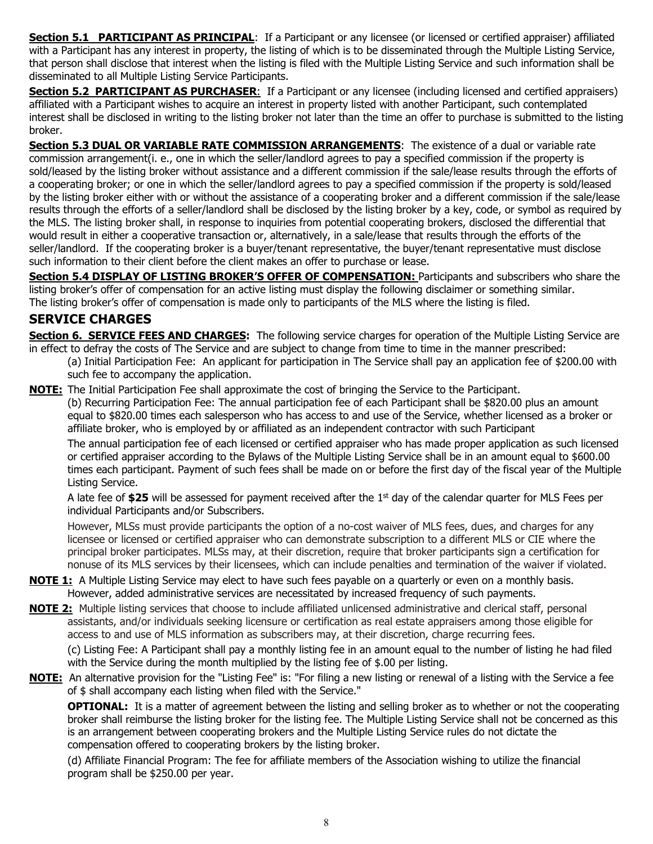**Section 5.1 PARTICIPANT AS PRINCIPAL**: If a Participant or any licensee (or licensed or certified appraiser) affiliated with a Participant has any interest in property, the listing of which is to be disseminated through the Multiple Listing Service, that person shall disclose that interest when the listing is filed with the Multiple Listing Service and such information shall be disseminated to all Multiple Listing Service Participants.

**Section 5.2 PARTICIPANT AS PURCHASER:** If a Participant or any licensee (including licensed and certified appraisers) affiliated with a Participant wishes to acquire an interest in property listed with another Participant, such contemplated interest shall be disclosed in writing to the listing broker not later than the time an offer to purchase is submitted to the listing broker.

**Section 5.3 DUAL OR VARIABLE RATE COMMISSION ARRANGEMENTS:** The existence of a dual or variable rate commission arrangement(i. e., one in which the seller/landlord agrees to pay a specified commission if the property is sold/leased by the listing broker without assistance and a different commission if the sale/lease results through the efforts of a cooperating broker; or one in which the seller/landlord agrees to pay a specified commission if the property is sold/leased by the listing broker either with or without the assistance of a cooperating broker and a different commission if the sale/lease results through the efforts of a seller/landlord shall be disclosed by the listing broker by a key, code, or symbol as required by the MLS. The listing broker shall, in response to inquiries from potential cooperating brokers, disclosed the differential that would result in either a cooperative transaction or, alternatively, in a sale/lease that results through the efforts of the seller/landlord. If the cooperating broker is a buyer/tenant representative, the buyer/tenant representative must disclose such information to their client before the client makes an offer to purchase or lease.

**Section 5.4 DISPLAY OF LISTING BROKER'S OFFER OF COMPENSATION:** Participants and subscribers who share the listing broker's offer of compensation for an active listing must display the following disclaimer or something similar. The listing broker's offer of compensation is made only to participants of the MLS where the listing is filed.

## **SERVICE CHARGES**

**Section 6. SERVICE FEES AND CHARGES:** The following service charges for operation of the Multiple Listing Service are in effect to defray the costs of The Service and are subject to change from time to time in the manner prescribed:

(a) Initial Participation Fee: An applicant for participation in The Service shall pay an application fee of \$200.00 with such fee to accompany the application.

**NOTE:** The Initial Participation Fee shall approximate the cost of bringing the Service to the Participant. (b) Recurring Participation Fee: The annual participation fee of each Participant shall be \$820.00 plus an amount equal to \$820.00 times each salesperson who has access to and use of the Service, whether licensed as a broker or affiliate broker, who is employed by or affiliated as an independent contractor with such Participant

The annual participation fee of each licensed or certified appraiser who has made proper application as such licensed or certified appraiser according to the Bylaws of the Multiple Listing Service shall be in an amount equal to \$600.00 times each participant. Payment of such fees shall be made on or before the first day of the fiscal year of the Multiple Listing Service.

A late fee of **\$25** will be assessed for payment received after the 1st day of the calendar quarter for MLS Fees per individual Participants and/or Subscribers.

However, MLSs must provide participants the option of a no-cost waiver of MLS fees, dues, and charges for any licensee or licensed or certified appraiser who can demonstrate subscription to a different MLS or CIE where the principal broker participates. MLSs may, at their discretion, require that broker participants sign a certification for nonuse of its MLS services by their licensees, which can include penalties and termination of the waiver if violated.

- **NOTE 1:** A Multiple Listing Service may elect to have such fees payable on a quarterly or even on a monthly basis. However, added administrative services are necessitated by increased frequency of such payments.
- **NOTE 2:** Multiple listing services that choose to include affiliated unlicensed administrative and clerical staff, personal assistants, and/or individuals seeking licensure or certification as real estate appraisers among those eligible for access to and use of MLS information as subscribers may, at their discretion, charge recurring fees.

(c) Listing Fee: A Participant shall pay a monthly listing fee in an amount equal to the number of listing he had filed with the Service during the month multiplied by the listing fee of \$.00 per listing.

**NOTE:** An alternative provision for the "Listing Fee" is: "For filing a new listing or renewal of a listing with the Service a fee of \$ shall accompany each listing when filed with the Service."

**OPTIONAL:** It is a matter of agreement between the listing and selling broker as to whether or not the cooperating broker shall reimburse the listing broker for the listing fee. The Multiple Listing Service shall not be concerned as this is an arrangement between cooperating brokers and the Multiple Listing Service rules do not dictate the compensation offered to cooperating brokers by the listing broker.

(d) Affiliate Financial Program: The fee for affiliate members of the Association wishing to utilize the financial program shall be \$250.00 per year.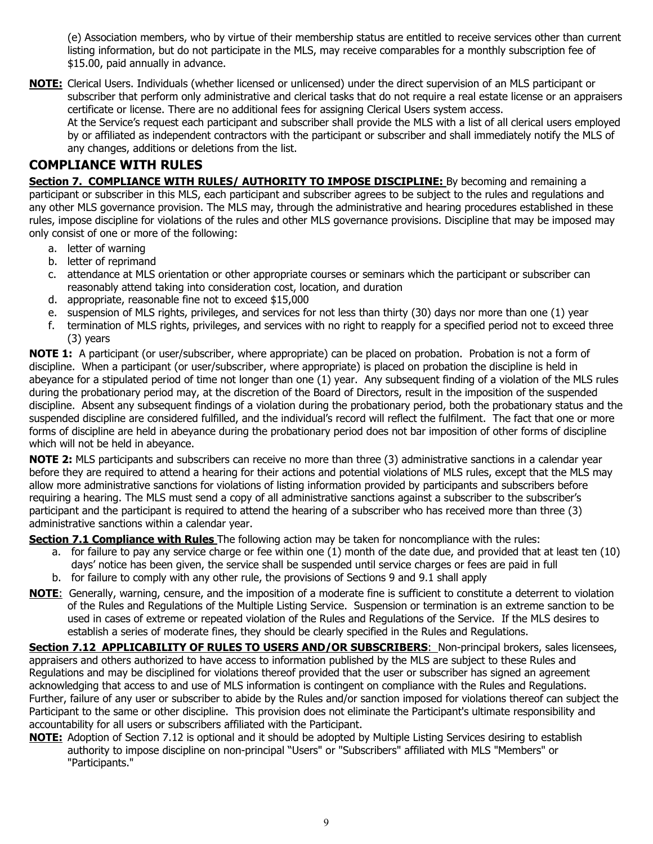(e) Association members, who by virtue of their membership status are entitled to receive services other than current listing information, but do not participate in the MLS, may receive comparables for a monthly subscription fee of \$15.00, paid annually in advance.

**NOTE:** Clerical Users. Individuals (whether licensed or unlicensed) under the direct supervision of an MLS participant or subscriber that perform only administrative and clerical tasks that do not require a real estate license or an appraisers certificate or license. There are no additional fees for assigning Clerical Users system access.

At the Service's request each participant and subscriber shall provide the MLS with a list of all clerical users employed by or affiliated as independent contractors with the participant or subscriber and shall immediately notify the MLS of any changes, additions or deletions from the list.

## **COMPLIANCE WITH RULES**

**Section 7. COMPLIANCE WITH RULES/ AUTHORITY TO IMPOSE DISCIPLINE:** By becoming and remaining a participant or subscriber in this MLS, each participant and subscriber agrees to be subject to the rules and regulations and any other MLS governance provision. The MLS may, through the administrative and hearing procedures established in these rules, impose discipline for violations of the rules and other MLS governance provisions. Discipline that may be imposed may only consist of one or more of the following:

- a. letter of warning
- b. letter of reprimand
- c. attendance at MLS orientation or other appropriate courses or seminars which the participant or subscriber can reasonably attend taking into consideration cost, location, and duration
- d. appropriate, reasonable fine not to exceed \$15,000
- e. suspension of MLS rights, privileges, and services for not less than thirty (30) days nor more than one (1) year
- f. termination of MLS rights, privileges, and services with no right to reapply for a specified period not to exceed three (3) years

**NOTE 1:** A participant (or user/subscriber, where appropriate) can be placed on probation. Probation is not a form of discipline. When a participant (or user/subscriber, where appropriate) is placed on probation the discipline is held in abeyance for a stipulated period of time not longer than one (1) year. Any subsequent finding of a violation of the MLS rules during the probationary period may, at the discretion of the Board of Directors, result in the imposition of the suspended discipline. Absent any subsequent findings of a violation during the probationary period, both the probationary status and the suspended discipline are considered fulfilled, and the individual's record will reflect the fulfilment. The fact that one or more forms of discipline are held in abeyance during the probationary period does not bar imposition of other forms of discipline which will not be held in abeyance.

**NOTE 2:** MLS participants and subscribers can receive no more than three (3) administrative sanctions in a calendar year before they are required to attend a hearing for their actions and potential violations of MLS rules, except that the MLS may allow more administrative sanctions for violations of listing information provided by participants and subscribers before requiring a hearing. The MLS must send a copy of all administrative sanctions against a subscriber to the subscriber's participant and the participant is required to attend the hearing of a subscriber who has received more than three (3) administrative sanctions within a calendar year.

**Section 7.1 Compliance with Rules** The following action may be taken for noncompliance with the rules:

- a. for failure to pay any service charge or fee within one (1) month of the date due, and provided that at least ten (10) days' notice has been given, the service shall be suspended until service charges or fees are paid in full
- b. for failure to comply with any other rule, the provisions of Sections 9 and 9.1 shall apply
- **NOTE**: Generally, warning, censure, and the imposition of a moderate fine is sufficient to constitute a deterrent to violation of the Rules and Regulations of the Multiple Listing Service. Suspension or termination is an extreme sanction to be used in cases of extreme or repeated violation of the Rules and Regulations of the Service. If the MLS desires to establish a series of moderate fines, they should be clearly specified in the Rules and Regulations.

Section 7.12 APPLICABILITY OF RULES TO USERS AND/OR SUBSCRIBERS: Non-principal brokers, sales licensees, appraisers and others authorized to have access to information published by the MLS are subject to these Rules and Regulations and may be disciplined for violations thereof provided that the user or subscriber has signed an agreement acknowledging that access to and use of MLS information is contingent on compliance with the Rules and Regulations. Further, failure of any user or subscriber to abide by the Rules and/or sanction imposed for violations thereof can subject the Participant to the same or other discipline. This provision does not eliminate the Participant's ultimate responsibility and accountability for all users or subscribers affiliated with the Participant.

**NOTE:** Adoption of Section 7.12 is optional and it should be adopted by Multiple Listing Services desiring to establish authority to impose discipline on non-principal "Users" or "Subscribers" affiliated with MLS "Members" or "Participants."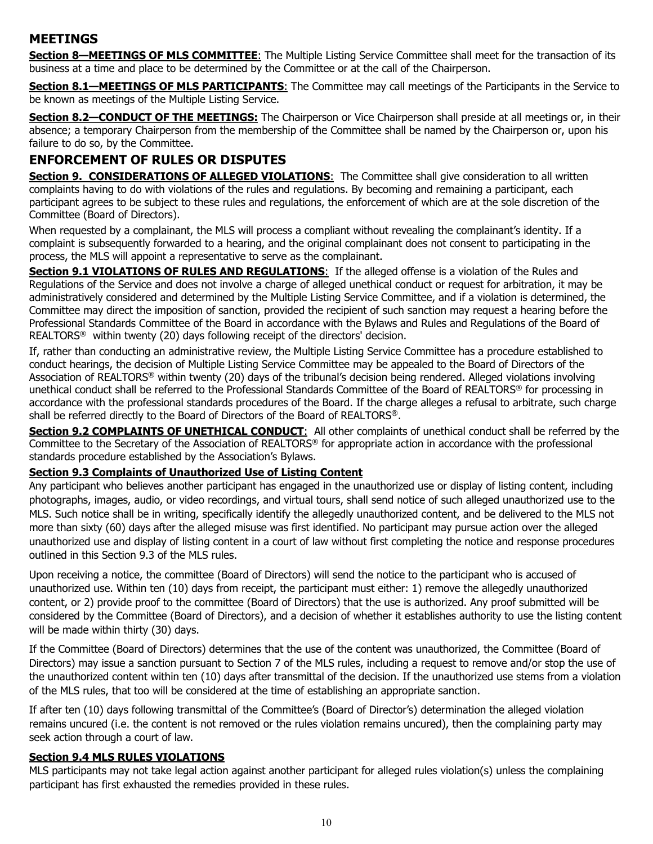## **MEETINGS**

**Section 8—MEETINGS OF MLS COMMITTEE**: The Multiple Listing Service Committee shall meet for the transaction of its business at a time and place to be determined by the Committee or at the call of the Chairperson.

**Section 8.1—MEETINGS OF MLS PARTICIPANTS:** The Committee may call meetings of the Participants in the Service to be known as meetings of the Multiple Listing Service.

**Section 8.2—CONDUCT OF THE MEETINGS:** The Chairperson or Vice Chairperson shall preside at all meetings or, in their absence; a temporary Chairperson from the membership of the Committee shall be named by the Chairperson or, upon his failure to do so, by the Committee.

## **ENFORCEMENT OF RULES OR DISPUTES**

**Section 9. CONSIDERATIONS OF ALLEGED VIOLATIONS:** The Committee shall give consideration to all written complaints having to do with violations of the rules and regulations. By becoming and remaining a participant, each participant agrees to be subject to these rules and regulations, the enforcement of which are at the sole discretion of the Committee (Board of Directors).

When requested by a complainant, the MLS will process a compliant without revealing the complainant's identity. If a complaint is subsequently forwarded to a hearing, and the original complainant does not consent to participating in the process, the MLS will appoint a representative to serve as the complainant.

**Section 9.1 VIOLATIONS OF RULES AND REGULATIONS:** If the alleged offense is a violation of the Rules and Regulations of the Service and does not involve a charge of alleged unethical conduct or request for arbitration, it may be administratively considered and determined by the Multiple Listing Service Committee, and if a violation is determined, the Committee may direct the imposition of sanction, provided the recipient of such sanction may request a hearing before the Professional Standards Committee of the Board in accordance with the Bylaws and Rules and Regulations of the Board of REALTORS® within twenty (20) days following receipt of the directors' decision.

If, rather than conducting an administrative review, the Multiple Listing Service Committee has a procedure established to conduct hearings, the decision of Multiple Listing Service Committee may be appealed to the Board of Directors of the Association of REALTORS® within twenty (20) days of the tribunal's decision being rendered. Alleged violations involving unethical conduct shall be referred to the Professional Standards Committee of the Board of REALTORS® for processing in accordance with the professional standards procedures of the Board. If the charge alleges a refusal to arbitrate, such charge shall be referred directly to the Board of Directors of the Board of REALTORS®.

**Section 9.2 COMPLAINTS OF UNETHICAL CONDUCT**: All other complaints of unethical conduct shall be referred by the Committee to the Secretary of the Association of REALTORS® for appropriate action in accordance with the professional standards procedure established by the Association's Bylaws.

#### **Section 9.3 Complaints of Unauthorized Use of Listing Content**

Any participant who believes another participant has engaged in the unauthorized use or display of listing content, including photographs, images, audio, or video recordings, and virtual tours, shall send notice of such alleged unauthorized use to the MLS. Such notice shall be in writing, specifically identify the allegedly unauthorized content, and be delivered to the MLS not more than sixty (60) days after the alleged misuse was first identified. No participant may pursue action over the alleged unauthorized use and display of listing content in a court of law without first completing the notice and response procedures outlined in this Section 9.3 of the MLS rules.

Upon receiving a notice, the committee (Board of Directors) will send the notice to the participant who is accused of unauthorized use. Within ten (10) days from receipt, the participant must either: 1) remove the allegedly unauthorized content, or 2) provide proof to the committee (Board of Directors) that the use is authorized. Any proof submitted will be considered by the Committee (Board of Directors), and a decision of whether it establishes authority to use the listing content will be made within thirty (30) days.

If the Committee (Board of Directors) determines that the use of the content was unauthorized, the Committee (Board of Directors) may issue a sanction pursuant to Section 7 of the MLS rules, including a request to remove and/or stop the use of the unauthorized content within ten (10) days after transmittal of the decision. If the unauthorized use stems from a violation of the MLS rules, that too will be considered at the time of establishing an appropriate sanction.

If after ten (10) days following transmittal of the Committee's (Board of Director's) determination the alleged violation remains uncured (i.e. the content is not removed or the rules violation remains uncured), then the complaining party may seek action through a court of law.

#### **Section 9.4 MLS RULES VIOLATIONS**

MLS participants may not take legal action against another participant for alleged rules violation(s) unless the complaining participant has first exhausted the remedies provided in these rules.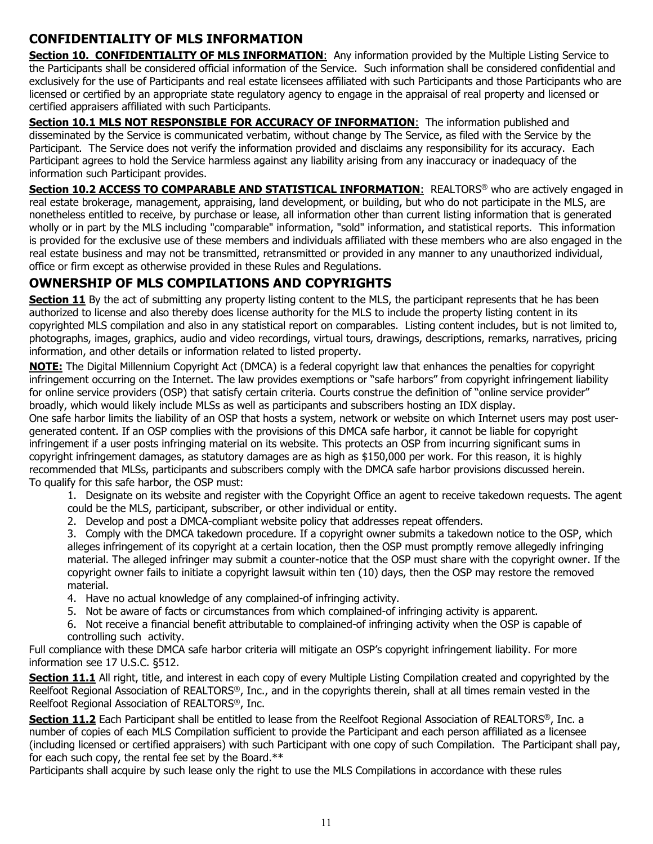## **CONFIDENTIALITY OF MLS INFORMATION**

**Section 10. CONFIDENTIALITY OF MLS INFORMATION:** Any information provided by the Multiple Listing Service to the Participants shall be considered official information of the Service. Such information shall be considered confidential and exclusively for the use of Participants and real estate licensees affiliated with such Participants and those Participants who are licensed or certified by an appropriate state regulatory agency to engage in the appraisal of real property and licensed or certified appraisers affiliated with such Participants.

**Section 10.1 MLS NOT RESPONSIBLE FOR ACCURACY OF INFORMATION:** The information published and disseminated by the Service is communicated verbatim, without change by The Service, as filed with the Service by the Participant. The Service does not verify the information provided and disclaims any responsibility for its accuracy. Each Participant agrees to hold the Service harmless against any liability arising from any inaccuracy or inadequacy of the information such Participant provides.

**Section 10.2 ACCESS TO COMPARABLE AND STATISTICAL INFORMATION: REALTORS<sup>®</sup> who are actively engaged in** real estate brokerage, management, appraising, land development, or building, but who do not participate in the MLS, are nonetheless entitled to receive, by purchase or lease, all information other than current listing information that is generated wholly or in part by the MLS including "comparable" information, "sold" information, and statistical reports. This information is provided for the exclusive use of these members and individuals affiliated with these members who are also engaged in the real estate business and may not be transmitted, retransmitted or provided in any manner to any unauthorized individual, office or firm except as otherwise provided in these Rules and Regulations.

## **OWNERSHIP OF MLS COMPILATIONS AND COPYRIGHTS**

**Section 11** By the act of submitting any property listing content to the MLS, the participant represents that he has been authorized to license and also thereby does license authority for the MLS to include the property listing content in its copyrighted MLS compilation and also in any statistical report on comparables. Listing content includes, but is not limited to, photographs, images, graphics, audio and video recordings, virtual tours, drawings, descriptions, remarks, narratives, pricing information, and other details or information related to listed property.

**NOTE:** The Digital Millennium Copyright Act (DMCA) is a federal copyright law that enhances the penalties for copyright infringement occurring on the Internet. The law provides exemptions or "safe harbors" from copyright infringement liability for online service providers (OSP) that satisfy certain criteria. Courts construe the definition of "online service provider" broadly, which would likely include MLSs as well as participants and subscribers hosting an IDX display.

One safe harbor limits the liability of an OSP that hosts a system, network or website on which Internet users may post usergenerated content. If an OSP complies with the provisions of this DMCA safe harbor, it cannot be liable for copyright infringement if a user posts infringing material on its website. This protects an OSP from incurring significant sums in copyright infringement damages, as statutory damages are as high as \$150,000 per work. For this reason, it is highly recommended that MLSs, participants and subscribers comply with the DMCA safe harbor provisions discussed herein. To qualify for this safe harbor, the OSP must:

1. Designate on its website and register with the Copyright Office an agent to receive takedown requests. The agent could be the MLS, participant, subscriber, or other individual or entity.

2. Develop and post a DMCA-compliant website policy that addresses repeat offenders.

3. Comply with the DMCA takedown procedure. If a copyright owner submits a takedown notice to the OSP, which alleges infringement of its copyright at a certain location, then the OSP must promptly remove allegedly infringing material. The alleged infringer may submit a counter-notice that the OSP must share with the copyright owner. If the copyright owner fails to initiate a copyright lawsuit within ten (10) days, then the OSP may restore the removed material.

- 4. Have no actual knowledge of any complained-of infringing activity.
- 5. Not be aware of facts or circumstances from which complained-of infringing activity is apparent.
- 6. Not receive a financial benefit attributable to complained-of infringing activity when the OSP is capable of controlling such activity.

Full compliance with these DMCA safe harbor criteria will mitigate an OSP's copyright infringement liability. For more information see 17 U.S.C. §512.

**Section 11.1** All right, title, and interest in each copy of every Multiple Listing Compilation created and copyrighted by the Reelfoot Regional Association of REALTORS®, Inc., and in the copyrights therein, shall at all times remain vested in the Reelfoot Regional Association of REALTORS®, Inc.

**Section 11.2** Each Participant shall be entitled to lease from the Reelfoot Regional Association of REALTORS®, Inc. a number of copies of each MLS Compilation sufficient to provide the Participant and each person affiliated as a licensee (including licensed or certified appraisers) with such Participant with one copy of such Compilation. The Participant shall pay, for each such copy, the rental fee set by the Board.\*\*

Participants shall acquire by such lease only the right to use the MLS Compilations in accordance with these rules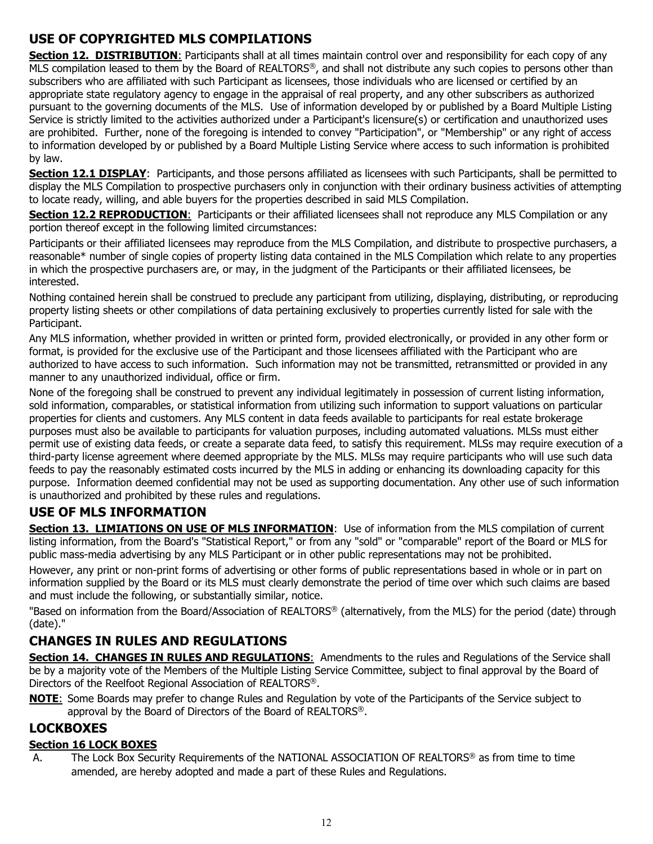## **USE OF COPYRIGHTED MLS COMPILATIONS**

**Section 12. DISTRIBUTION:** Participants shall at all times maintain control over and responsibility for each copy of any MLS compilation leased to them by the Board of REALTORS®, and shall not distribute any such copies to persons other than subscribers who are affiliated with such Participant as licensees, those individuals who are licensed or certified by an appropriate state regulatory agency to engage in the appraisal of real property, and any other subscribers as authorized pursuant to the governing documents of the MLS. Use of information developed by or published by a Board Multiple Listing Service is strictly limited to the activities authorized under a Participant's licensure(s) or certification and unauthorized uses are prohibited. Further, none of the foregoing is intended to convey "Participation", or "Membership" or any right of access to information developed by or published by a Board Multiple Listing Service where access to such information is prohibited by law.

**Section 12.1 DISPLAY**: Participants, and those persons affiliated as licensees with such Participants, shall be permitted to display the MLS Compilation to prospective purchasers only in conjunction with their ordinary business activities of attempting to locate ready, willing, and able buyers for the properties described in said MLS Compilation.

**Section 12.2 REPRODUCTION:** Participants or their affiliated licensees shall not reproduce any MLS Compilation or any portion thereof except in the following limited circumstances:

Participants or their affiliated licensees may reproduce from the MLS Compilation, and distribute to prospective purchasers, a reasonable\* number of single copies of property listing data contained in the MLS Compilation which relate to any properties in which the prospective purchasers are, or may, in the judgment of the Participants or their affiliated licensees, be interested.

Nothing contained herein shall be construed to preclude any participant from utilizing, displaying, distributing, or reproducing property listing sheets or other compilations of data pertaining exclusively to properties currently listed for sale with the Participant.

Any MLS information, whether provided in written or printed form, provided electronically, or provided in any other form or format, is provided for the exclusive use of the Participant and those licensees affiliated with the Participant who are authorized to have access to such information. Such information may not be transmitted, retransmitted or provided in any manner to any unauthorized individual, office or firm.

None of the foregoing shall be construed to prevent any individual legitimately in possession of current listing information, sold information, comparables, or statistical information from utilizing such information to support valuations on particular properties for clients and customers. Any MLS content in data feeds available to participants for real estate brokerage purposes must also be available to participants for valuation purposes, including automated valuations. MLSs must either permit use of existing data feeds, or create a separate data feed, to satisfy this requirement. MLSs may require execution of a third-party license agreement where deemed appropriate by the MLS. MLSs may require participants who will use such data feeds to pay the reasonably estimated costs incurred by the MLS in adding or enhancing its downloading capacity for this purpose. Information deemed confidential may not be used as supporting documentation. Any other use of such information is unauthorized and prohibited by these rules and regulations.

## **USE OF MLS INFORMATION**

**Section 13. LIMIATIONS ON USE OF MLS INFORMATION:** Use of information from the MLS compilation of current listing information, from the Board's "Statistical Report," or from any "sold" or "comparable" report of the Board or MLS for public mass-media advertising by any MLS Participant or in other public representations may not be prohibited.

However, any print or non-print forms of advertising or other forms of public representations based in whole or in part on information supplied by the Board or its MLS must clearly demonstrate the period of time over which such claims are based and must include the following, or substantially similar, notice.

"Based on information from the Board/Association of REALTORS® (alternatively, from the MLS) for the period (date) through (date)."

## **CHANGES IN RULES AND REGULATIONS**

**Section 14. CHANGES IN RULES AND REGULATIONS:** Amendments to the rules and Regulations of the Service shall be by a majority vote of the Members of the Multiple Listing Service Committee, subject to final approval by the Board of Directors of the Reelfoot Regional Association of REALTORS®.

**NOTE**: Some Boards may prefer to change Rules and Regulation by vote of the Participants of the Service subject to approval by the Board of Directors of the Board of REALTORS®.

## **LOCKBOXES**

## **Section 16 LOCK BOXES**

A. The Lock Box Security Requirements of the NATIONAL ASSOCIATION OF REALTORS<sup>®</sup> as from time to time amended, are hereby adopted and made a part of these Rules and Regulations.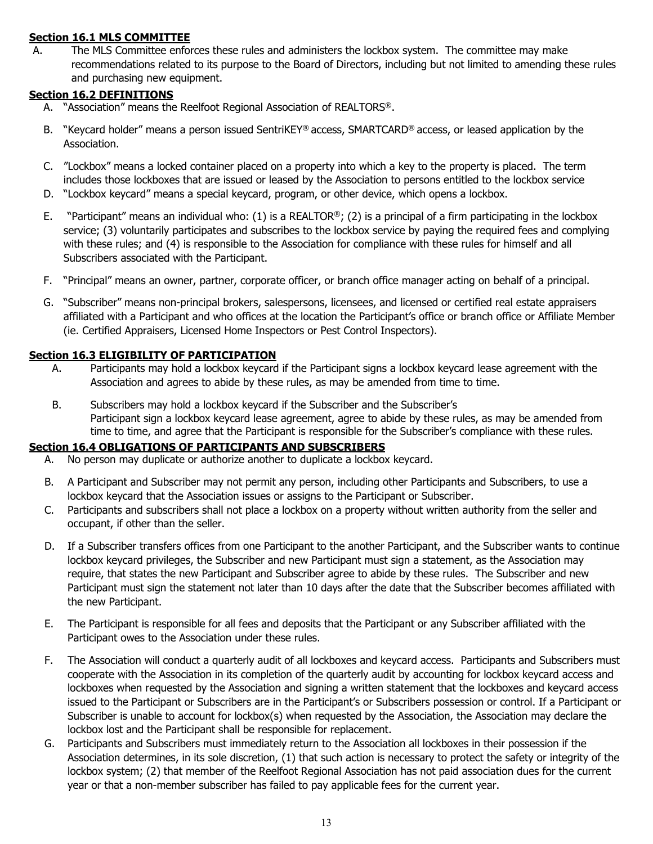#### **Section 16.1 MLS COMMITTEE**

A. The MLS Committee enforces these rules and administers the lockbox system. The committee may make recommendations related to its purpose to the Board of Directors, including but not limited to amending these rules and purchasing new equipment.

#### **Section 16.2 DEFINITIONS**

- A. "Association" means the Reelfoot Regional Association of REALTORS®.
- B. "Keycard holder" means a person issued SentriKEY® access, SMARTCARD® access, or leased application by the Association.
- C. "Lockbox" means a locked container placed on a property into which a key to the property is placed. The term includes those lockboxes that are issued or leased by the Association to persons entitled to the lockbox service
- D. "Lockbox keycard" means a special keycard, program, or other device, which opens a lockbox.
- E. "Participant" means an individual who: (1) is a REALTOR®; (2) is a principal of a firm participating in the lockbox service; (3) voluntarily participates and subscribes to the lockbox service by paying the required fees and complying with these rules; and (4) is responsible to the Association for compliance with these rules for himself and all Subscribers associated with the Participant.
- F. "Principal" means an owner, partner, corporate officer, or branch office manager acting on behalf of a principal.
- G. "Subscriber" means non-principal brokers, salespersons, licensees, and licensed or certified real estate appraisers affiliated with a Participant and who offices at the location the Participant's office or branch office or Affiliate Member (ie. Certified Appraisers, Licensed Home Inspectors or Pest Control Inspectors).

#### **Section 16.3 ELIGIBILITY OF PARTICIPATION**

- A. Participants may hold a lockbox keycard if the Participant signs a lockbox keycard lease agreement with the Association and agrees to abide by these rules, as may be amended from time to time.
- B. Subscribers may hold a lockbox keycard if the Subscriber and the Subscriber's Participant sign a lockbox keycard lease agreement, agree to abide by these rules, as may be amended from time to time, and agree that the Participant is responsible for the Subscriber's compliance with these rules.

#### **Section 16.4 OBLIGATIONS OF PARTICIPANTS AND SUBSCRIBERS**

- A. No person may duplicate or authorize another to duplicate a lockbox keycard.
- B. A Participant and Subscriber may not permit any person, including other Participants and Subscribers, to use a lockbox keycard that the Association issues or assigns to the Participant or Subscriber.
- C. Participants and subscribers shall not place a lockbox on a property without written authority from the seller and occupant, if other than the seller.
- D. If a Subscriber transfers offices from one Participant to the another Participant, and the Subscriber wants to continue lockbox keycard privileges, the Subscriber and new Participant must sign a statement, as the Association may require, that states the new Participant and Subscriber agree to abide by these rules. The Subscriber and new Participant must sign the statement not later than 10 days after the date that the Subscriber becomes affiliated with the new Participant.
- E. The Participant is responsible for all fees and deposits that the Participant or any Subscriber affiliated with the Participant owes to the Association under these rules.
- F. The Association will conduct a quarterly audit of all lockboxes and keycard access. Participants and Subscribers must cooperate with the Association in its completion of the quarterly audit by accounting for lockbox keycard access and lockboxes when requested by the Association and signing a written statement that the lockboxes and keycard access issued to the Participant or Subscribers are in the Participant's or Subscribers possession or control. If a Participant or Subscriber is unable to account for lockbox(s) when requested by the Association, the Association may declare the lockbox lost and the Participant shall be responsible for replacement.
- G. Participants and Subscribers must immediately return to the Association all lockboxes in their possession if the Association determines, in its sole discretion, (1) that such action is necessary to protect the safety or integrity of the lockbox system; (2) that member of the Reelfoot Regional Association has not paid association dues for the current year or that a non-member subscriber has failed to pay applicable fees for the current year.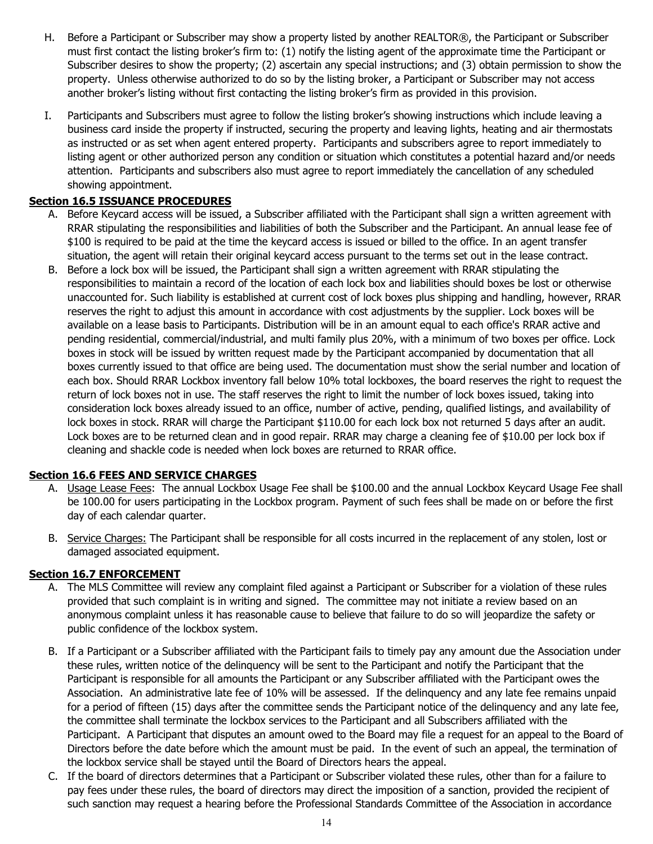- H. Before a Participant or Subscriber may show a property listed by another REALTOR®, the Participant or Subscriber must first contact the listing broker's firm to: (1) notify the listing agent of the approximate time the Participant or Subscriber desires to show the property; (2) ascertain any special instructions; and (3) obtain permission to show the property. Unless otherwise authorized to do so by the listing broker, a Participant or Subscriber may not access another broker's listing without first contacting the listing broker's firm as provided in this provision.
- I. Participants and Subscribers must agree to follow the listing broker's showing instructions which include leaving a business card inside the property if instructed, securing the property and leaving lights, heating and air thermostats as instructed or as set when agent entered property. Participants and subscribers agree to report immediately to listing agent or other authorized person any condition or situation which constitutes a potential hazard and/or needs attention. Participants and subscribers also must agree to report immediately the cancellation of any scheduled showing appointment.

#### **Section 16.5 ISSUANCE PROCEDURES**

- A. Before Keycard access will be issued, a Subscriber affiliated with the Participant shall sign a written agreement with RRAR stipulating the responsibilities and liabilities of both the Subscriber and the Participant. An annual lease fee of \$100 is required to be paid at the time the keycard access is issued or billed to the office. In an agent transfer situation, the agent will retain their original keycard access pursuant to the terms set out in the lease contract.
- B. Before a lock box will be issued, the Participant shall sign a written agreement with RRAR stipulating the responsibilities to maintain a record of the location of each lock box and liabilities should boxes be lost or otherwise unaccounted for. Such liability is established at current cost of lock boxes plus shipping and handling, however, RRAR reserves the right to adjust this amount in accordance with cost adjustments by the supplier. Lock boxes will be available on a lease basis to Participants. Distribution will be in an amount equal to each office's RRAR active and pending residential, commercial/industrial, and multi family plus 20%, with a minimum of two boxes per office. Lock boxes in stock will be issued by written request made by the Participant accompanied by documentation that all boxes currently issued to that office are being used. The documentation must show the serial number and location of each box. Should RRAR Lockbox inventory fall below 10% total lockboxes, the board reserves the right to request the return of lock boxes not in use. The staff reserves the right to limit the number of lock boxes issued, taking into consideration lock boxes already issued to an office, number of active, pending, qualified listings, and availability of lock boxes in stock. RRAR will charge the Participant \$110.00 for each lock box not returned 5 days after an audit. Lock boxes are to be returned clean and in good repair. RRAR may charge a cleaning fee of \$10.00 per lock box if cleaning and shackle code is needed when lock boxes are returned to RRAR office.

#### **Section 16.6 FEES AND SERVICE CHARGES**

- A. Usage Lease Fees: The annual Lockbox Usage Fee shall be \$100.00 and the annual Lockbox Keycard Usage Fee shall be 100.00 for users participating in the Lockbox program. Payment of such fees shall be made on or before the first day of each calendar quarter.
- B. Service Charges: The Participant shall be responsible for all costs incurred in the replacement of any stolen, lost or damaged associated equipment.

#### **Section 16.7 ENFORCEMENT**

- A. The MLS Committee will review any complaint filed against a Participant or Subscriber for a violation of these rules provided that such complaint is in writing and signed. The committee may not initiate a review based on an anonymous complaint unless it has reasonable cause to believe that failure to do so will jeopardize the safety or public confidence of the lockbox system.
- B. If a Participant or a Subscriber affiliated with the Participant fails to timely pay any amount due the Association under these rules, written notice of the delinquency will be sent to the Participant and notify the Participant that the Participant is responsible for all amounts the Participant or any Subscriber affiliated with the Participant owes the Association. An administrative late fee of 10% will be assessed. If the delinquency and any late fee remains unpaid for a period of fifteen (15) days after the committee sends the Participant notice of the delinquency and any late fee, the committee shall terminate the lockbox services to the Participant and all Subscribers affiliated with the Participant. A Participant that disputes an amount owed to the Board may file a request for an appeal to the Board of Directors before the date before which the amount must be paid. In the event of such an appeal, the termination of the lockbox service shall be stayed until the Board of Directors hears the appeal.
- C. If the board of directors determines that a Participant or Subscriber violated these rules, other than for a failure to pay fees under these rules, the board of directors may direct the imposition of a sanction, provided the recipient of such sanction may request a hearing before the Professional Standards Committee of the Association in accordance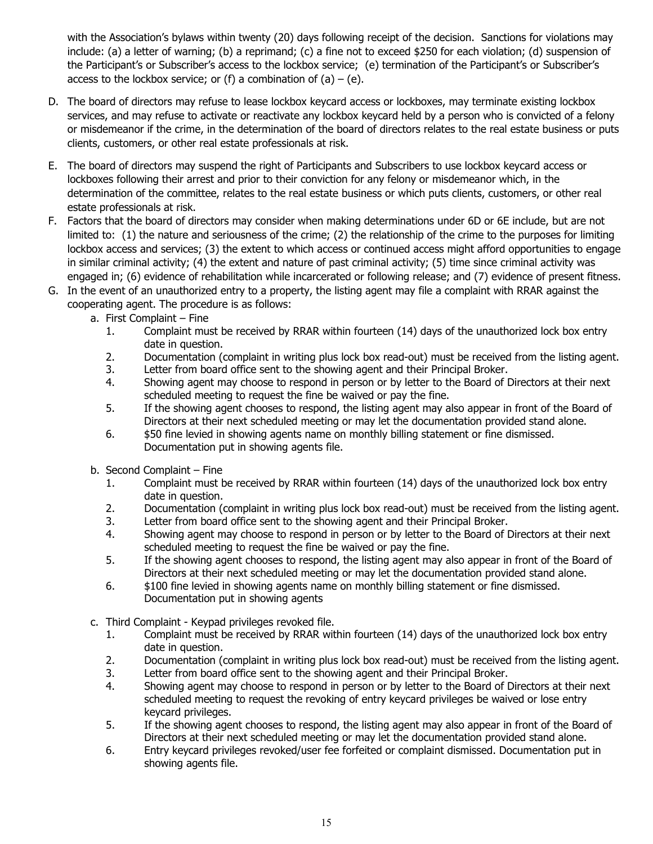with the Association's bylaws within twenty (20) days following receipt of the decision. Sanctions for violations may include: (a) a letter of warning; (b) a reprimand; (c) a fine not to exceed \$250 for each violation; (d) suspension of the Participant's or Subscriber's access to the lockbox service; (e) termination of the Participant's or Subscriber's access to the lockbox service; or (f) a combination of  $(a) - (e)$ .

- D. The board of directors may refuse to lease lockbox keycard access or lockboxes, may terminate existing lockbox services, and may refuse to activate or reactivate any lockbox keycard held by a person who is convicted of a felony or misdemeanor if the crime, in the determination of the board of directors relates to the real estate business or puts clients, customers, or other real estate professionals at risk.
- E. The board of directors may suspend the right of Participants and Subscribers to use lockbox keycard access or lockboxes following their arrest and prior to their conviction for any felony or misdemeanor which, in the determination of the committee, relates to the real estate business or which puts clients, customers, or other real estate professionals at risk.
- F. Factors that the board of directors may consider when making determinations under 6D or 6E include, but are not limited to: (1) the nature and seriousness of the crime; (2) the relationship of the crime to the purposes for limiting lockbox access and services; (3) the extent to which access or continued access might afford opportunities to engage in similar criminal activity; (4) the extent and nature of past criminal activity; (5) time since criminal activity was engaged in; (6) evidence of rehabilitation while incarcerated or following release; and (7) evidence of present fitness.
- G. In the event of an unauthorized entry to a property, the listing agent may file a complaint with RRAR against the cooperating agent. The procedure is as follows:
	- a. First Complaint Fine
		- 1. Complaint must be received by RRAR within fourteen (14) days of the unauthorized lock box entry date in question.
		- 2. Documentation (complaint in writing plus lock box read-out) must be received from the listing agent.<br>3. Letter from board office sent to the showing agent and their Principal Broker.
		- Letter from board office sent to the showing agent and their Principal Broker.
		- 4. Showing agent may choose to respond in person or by letter to the Board of Directors at their next scheduled meeting to request the fine be waived or pay the fine.
		- 5. If the showing agent chooses to respond, the listing agent may also appear in front of the Board of Directors at their next scheduled meeting or may let the documentation provided stand alone.
		- 6. \$50 fine levied in showing agents name on monthly billing statement or fine dismissed. Documentation put in showing agents file.
	- b. Second Complaint Fine
		- 1. Complaint must be received by RRAR within fourteen (14) days of the unauthorized lock box entry date in question.
		- 2. Documentation (complaint in writing plus lock box read-out) must be received from the listing agent.<br>3. Letter from board office sent to the showing agent and their Principal Broker.
		- 3. Letter from board office sent to the showing agent and their Principal Broker.<br>4. Showing agent may choose to respond in person or by letter to the Board of D
		- Showing agent may choose to respond in person or by letter to the Board of Directors at their next scheduled meeting to request the fine be waived or pay the fine.
		- 5. If the showing agent chooses to respond, the listing agent may also appear in front of the Board of Directors at their next scheduled meeting or may let the documentation provided stand alone.
		- 6. \$100 fine levied in showing agents name on monthly billing statement or fine dismissed. Documentation put in showing agents
	- c. Third Complaint Keypad privileges revoked file.
		- 1. Complaint must be received by RRAR within fourteen (14) days of the unauthorized lock box entry date in question.
		- 2. Documentation (complaint in writing plus lock box read-out) must be received from the listing agent.<br>3. Letter from board office sent to the showing agent and their Principal Broker.
		- Letter from board office sent to the showing agent and their Principal Broker.
		- 4. Showing agent may choose to respond in person or by letter to the Board of Directors at their next scheduled meeting to request the revoking of entry keycard privileges be waived or lose entry keycard privileges.
		- 5. If the showing agent chooses to respond, the listing agent may also appear in front of the Board of Directors at their next scheduled meeting or may let the documentation provided stand alone.
		- 6. Entry keycard privileges revoked/user fee forfeited or complaint dismissed. Documentation put in showing agents file.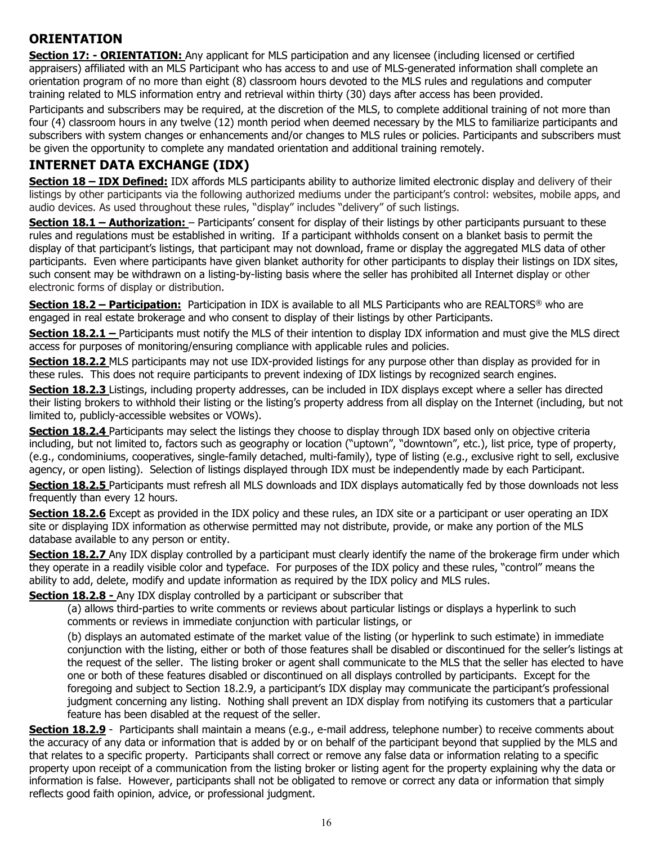## **ORIENTATION**

**Section 17: - ORIENTATION:** Any applicant for MLS participation and any licensee (including licensed or certified appraisers) affiliated with an MLS Participant who has access to and use of MLS-generated information shall complete an orientation program of no more than eight (8) classroom hours devoted to the MLS rules and regulations and computer training related to MLS information entry and retrieval within thirty (30) days after access has been provided.

Participants and subscribers may be required, at the discretion of the MLS, to complete additional training of not more than four (4) classroom hours in any twelve (12) month period when deemed necessary by the MLS to familiarize participants and subscribers with system changes or enhancements and/or changes to MLS rules or policies. Participants and subscribers must be given the opportunity to complete any mandated orientation and additional training remotely.

## **INTERNET DATA EXCHANGE (IDX)**

**Section 18 – IDX Defined:** IDX affords MLS participants ability to authorize limited electronic display and delivery of their listings by other participants via the following authorized mediums under the participant's control: websites, mobile apps, and audio devices. As used throughout these rules, "display" includes "delivery" of such listings.

**Section 18.1 – Authorization:** – Participants' consent for display of their listings by other participants pursuant to these rules and regulations must be established in writing. If a participant withholds consent on a blanket basis to permit the display of that participant's listings, that participant may not download, frame or display the aggregated MLS data of other participants. Even where participants have given blanket authority for other participants to display their listings on IDX sites, such consent may be withdrawn on a listing-by-listing basis where the seller has prohibited all Internet display or other electronic forms of display or distribution.

**Section 18.2 – Participation:** Participation in IDX is available to all MLS Participants who are REALTORS® who are engaged in real estate brokerage and who consent to display of their listings by other Participants.

**Section 18.2.1 –** Participants must notify the MLS of their intention to display IDX information and must give the MLS direct access for purposes of monitoring/ensuring compliance with applicable rules and policies.

**Section 18.2.2** MLS participants may not use IDX-provided listings for any purpose other than display as provided for in these rules. This does not require participants to prevent indexing of IDX listings by recognized search engines.

**Section 18.2.3** Listings, including property addresses, can be included in IDX displays except where a seller has directed their listing brokers to withhold their listing or the listing's property address from all display on the Internet (including, but not limited to, publicly-accessible websites or VOWs).

**Section 18.2.4** Participants may select the listings they choose to display through IDX based only on objective criteria including, but not limited to, factors such as geography or location ("uptown", "downtown", etc.), list price, type of property, (e.g., condominiums, cooperatives, single-family detached, multi-family), type of listing (e.g., exclusive right to sell, exclusive agency, or open listing). Selection of listings displayed through IDX must be independently made by each Participant.

**Section 18.2.5** Participants must refresh all MLS downloads and IDX displays automatically fed by those downloads not less frequently than every 12 hours.

**Section 18.2.6** Except as provided in the IDX policy and these rules, an IDX site or a participant or user operating an IDX site or displaying IDX information as otherwise permitted may not distribute, provide, or make any portion of the MLS database available to any person or entity.

**Section 18.2.7** Any IDX display controlled by a participant must clearly identify the name of the brokerage firm under which they operate in a readily visible color and typeface. For purposes of the IDX policy and these rules, "control" means the ability to add, delete, modify and update information as required by the IDX policy and MLS rules.

#### **Section 18.2.8 -** Any IDX display controlled by a participant or subscriber that

(a) allows third-parties to write comments or reviews about particular listings or displays a hyperlink to such comments or reviews in immediate conjunction with particular listings, or

(b) displays an automated estimate of the market value of the listing (or hyperlink to such estimate) in immediate conjunction with the listing, either or both of those features shall be disabled or discontinued for the seller's listings at the request of the seller. The listing broker or agent shall communicate to the MLS that the seller has elected to have one or both of these features disabled or discontinued on all displays controlled by participants. Except for the foregoing and subject to Section 18.2.9, a participant's IDX display may communicate the participant's professional judgment concerning any listing. Nothing shall prevent an IDX display from notifying its customers that a particular feature has been disabled at the request of the seller.

**Section 18.2.9** - Participants shall maintain a means (e.g., e-mail address, telephone number) to receive comments about the accuracy of any data or information that is added by or on behalf of the participant beyond that supplied by the MLS and that relates to a specific property. Participants shall correct or remove any false data or information relating to a specific property upon receipt of a communication from the listing broker or listing agent for the property explaining why the data or information is false. However, participants shall not be obligated to remove or correct any data or information that simply reflects good faith opinion, advice, or professional judgment.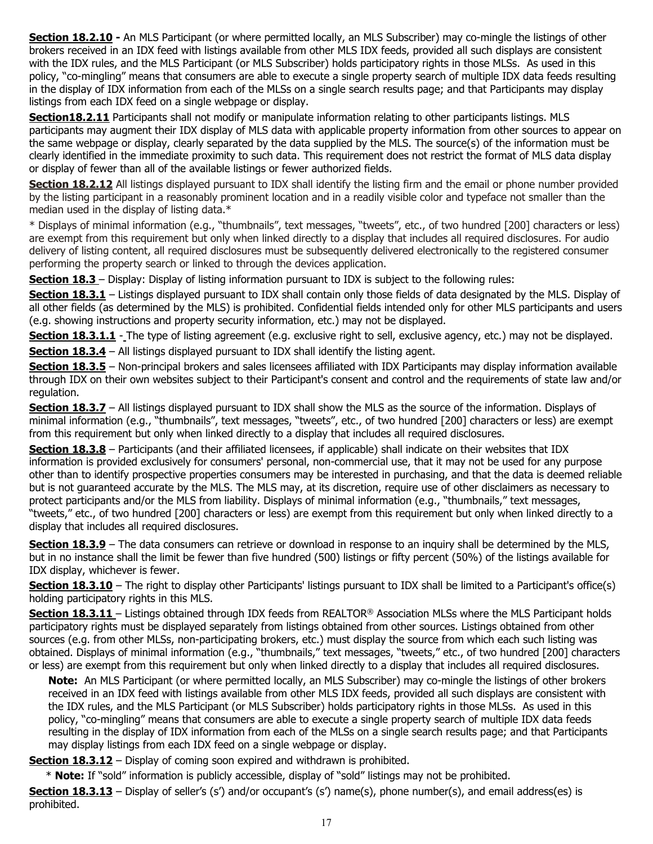**Section 18.2.10 -** An MLS Participant (or where permitted locally, an MLS Subscriber) may co-mingle the listings of other brokers received in an IDX feed with listings available from other MLS IDX feeds, provided all such displays are consistent with the IDX rules, and the MLS Participant (or MLS Subscriber) holds participatory rights in those MLSs. As used in this policy, "co-mingling" means that consumers are able to execute a single property search of multiple IDX data feeds resulting in the display of IDX information from each of the MLSs on a single search results page; and that Participants may display listings from each IDX feed on a single webpage or display.

**Section18.2.11** Participants shall not modify or manipulate information relating to other participants listings. MLS participants may augment their IDX display of MLS data with applicable property information from other sources to appear on the same webpage or display, clearly separated by the data supplied by the MLS. The source(s) of the information must be clearly identified in the immediate proximity to such data. This requirement does not restrict the format of MLS data display or display of fewer than all of the available listings or fewer authorized fields.

**Section 18.2.12** All listings displayed pursuant to IDX shall identify the listing firm and the email or phone number provided by the listing participant in a reasonably prominent location and in a readily visible color and typeface not smaller than the median used in the display of listing data.\*

\* Displays of minimal information (e.g., "thumbnails", text messages, "tweets", etc., of two hundred [200] characters or less) are exempt from this requirement but only when linked directly to a display that includes all required disclosures. For audio delivery of listing content, all required disclosures must be subsequently delivered electronically to the registered consumer performing the property search or linked to through the devices application.

**Section 18.3** – Display: Display of listing information pursuant to IDX is subject to the following rules:

**Section 18.3.1** – Listings displayed pursuant to IDX shall contain only those fields of data designated by the MLS. Display of all other fields (as determined by the MLS) is prohibited. Confidential fields intended only for other MLS participants and users (e.g. showing instructions and property security information, etc.) may not be displayed.

**Section 18.3.1.1** - The type of listing agreement (e.g. exclusive right to sell, exclusive agency, etc.) may not be displayed. **Section 18.3.4** – All listings displayed pursuant to IDX shall identify the listing agent.

**Section 18.3.5** – Non-principal brokers and sales licensees affiliated with IDX Participants may display information available through IDX on their own websites subject to their Participant's consent and control and the requirements of state law and/or regulation.

**Section 18.3.7** – All listings displayed pursuant to IDX shall show the MLS as the source of the information. Displays of minimal information (e.g., "thumbnails", text messages, "tweets", etc., of two hundred [200] characters or less) are exempt from this requirement but only when linked directly to a display that includes all required disclosures.

**Section 18.3.8** – Participants (and their affiliated licensees, if applicable) shall indicate on their websites that IDX information is provided exclusively for consumers' personal, non-commercial use, that it may not be used for any purpose other than to identify prospective properties consumers may be interested in purchasing, and that the data is deemed reliable but is not guaranteed accurate by the MLS. The MLS may, at its discretion, require use of other disclaimers as necessary to protect participants and/or the MLS from liability. Displays of minimal information (e.g., "thumbnails," text messages, "tweets," etc., of two hundred [200] characters or less) are exempt from this requirement but only when linked directly to a display that includes all required disclosures.

**Section 18.3.9** – The data consumers can retrieve or download in response to an inquiry shall be determined by the MLS, but in no instance shall the limit be fewer than five hundred (500) listings or fifty percent (50%) of the listings available for IDX display, whichever is fewer.

**Section 18.3.10** – The right to display other Participants' listings pursuant to IDX shall be limited to a Participant's office(s) holding participatory rights in this MLS.

**Section 18.3.11** – Listings obtained through IDX feeds from REALTOR<sup>®</sup> Association MLSs where the MLS Participant holds participatory rights must be displayed separately from listings obtained from other sources. Listings obtained from other sources (e.g. from other MLSs, non-participating brokers, etc.) must display the source from which each such listing was obtained. Displays of minimal information (e.g., "thumbnails," text messages, "tweets," etc., of two hundred [200] characters or less) are exempt from this requirement but only when linked directly to a display that includes all required disclosures.

**Note:** An MLS Participant (or where permitted locally, an MLS Subscriber) may co-mingle the listings of other brokers received in an IDX feed with listings available from other MLS IDX feeds, provided all such displays are consistent with the IDX rules, and the MLS Participant (or MLS Subscriber) holds participatory rights in those MLSs. As used in this policy, "co-mingling" means that consumers are able to execute a single property search of multiple IDX data feeds resulting in the display of IDX information from each of the MLSs on a single search results page; and that Participants may display listings from each IDX feed on a single webpage or display.

**Section 18.3.12** – Display of coming soon expired and withdrawn is prohibited.

\* **Note:** If "sold" information is publicly accessible, display of "sold" listings may not be prohibited.

**Section 18.3.13** – Display of seller's (s') and/or occupant's (s') name(s), phone number(s), and email address(es) is prohibited.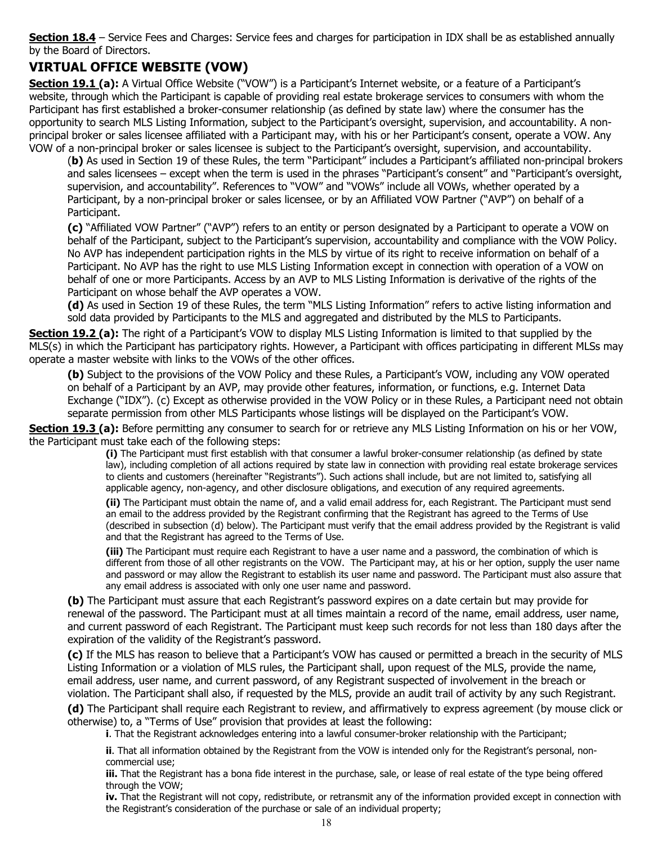**Section 18.4** – Service Fees and Charges: Service fees and charges for participation in IDX shall be as established annually by the Board of Directors.

## **VIRTUAL OFFICE WEBSITE (VOW)**

Section 19.1 (a): A Virtual Office Website ("VOW") is a Participant's Internet website, or a feature of a Participant's website, through which the Participant is capable of providing real estate brokerage services to consumers with whom the Participant has first established a broker-consumer relationship (as defined by state law) where the consumer has the opportunity to search MLS Listing Information, subject to the Participant's oversight, supervision, and accountability. A nonprincipal broker or sales licensee affiliated with a Participant may, with his or her Participant's consent, operate a VOW. Any VOW of a non-principal broker or sales licensee is subject to the Participant's oversight, supervision, and accountability.

(**b)** As used in Section 19 of these Rules, the term "Participant" includes a Participant's affiliated non-principal brokers and sales licensees – except when the term is used in the phrases "Participant's consent" and "Participant's oversight, supervision, and accountability". References to "VOW" and "VOWs" include all VOWs, whether operated by a Participant, by a non-principal broker or sales licensee, or by an Affiliated VOW Partner ("AVP") on behalf of a Participant.

**(c)** "Affiliated VOW Partner" ("AVP") refers to an entity or person designated by a Participant to operate a VOW on behalf of the Participant, subject to the Participant's supervision, accountability and compliance with the VOW Policy. No AVP has independent participation rights in the MLS by virtue of its right to receive information on behalf of a Participant. No AVP has the right to use MLS Listing Information except in connection with operation of a VOW on behalf of one or more Participants. Access by an AVP to MLS Listing Information is derivative of the rights of the Participant on whose behalf the AVP operates a VOW.

**(d)** As used in Section 19 of these Rules, the term "MLS Listing Information" refers to active listing information and sold data provided by Participants to the MLS and aggregated and distributed by the MLS to Participants.

**Section 19.2 (a):** The right of a Participant's VOW to display MLS Listing Information is limited to that supplied by the MLS(s) in which the Participant has participatory rights. However, a Participant with offices participating in different MLSs may operate a master website with links to the VOWs of the other offices.

**(b)** Subject to the provisions of the VOW Policy and these Rules, a Participant's VOW, including any VOW operated on behalf of a Participant by an AVP, may provide other features, information, or functions, e.g. Internet Data Exchange ("IDX"). (c) Except as otherwise provided in the VOW Policy or in these Rules, a Participant need not obtain separate permission from other MLS Participants whose listings will be displayed on the Participant's VOW.

**Section 19.3 (a):** Before permitting any consumer to search for or retrieve any MLS Listing Information on his or her VOW, the Participant must take each of the following steps:

**(i)** The Participant must first establish with that consumer a lawful broker-consumer relationship (as defined by state law), including completion of all actions required by state law in connection with providing real estate brokerage services to clients and customers (hereinafter "Registrants"). Such actions shall include, but are not limited to, satisfying all applicable agency, non-agency, and other disclosure obligations, and execution of any required agreements.

**(ii)** The Participant must obtain the name of, and a valid email address for, each Registrant. The Participant must send an email to the address provided by the Registrant confirming that the Registrant has agreed to the Terms of Use (described in subsection (d) below). The Participant must verify that the email address provided by the Registrant is valid and that the Registrant has agreed to the Terms of Use.

**(iii)** The Participant must require each Registrant to have a user name and a password, the combination of which is different from those of all other registrants on the VOW. The Participant may, at his or her option, supply the user name and password or may allow the Registrant to establish its user name and password. The Participant must also assure that any email address is associated with only one user name and password.

**(b)** The Participant must assure that each Registrant's password expires on a date certain but may provide for renewal of the password. The Participant must at all times maintain a record of the name, email address, user name, and current password of each Registrant. The Participant must keep such records for not less than 180 days after the expiration of the validity of the Registrant's password.

**(c)** If the MLS has reason to believe that a Participant's VOW has caused or permitted a breach in the security of MLS Listing Information or a violation of MLS rules, the Participant shall, upon request of the MLS, provide the name, email address, user name, and current password, of any Registrant suspected of involvement in the breach or violation. The Participant shall also, if requested by the MLS, provide an audit trail of activity by any such Registrant.

**(d)** The Participant shall require each Registrant to review, and affirmatively to express agreement (by mouse click or otherwise) to, a "Terms of Use" provision that provides at least the following:

**i**. That the Registrant acknowledges entering into a lawful consumer-broker relationship with the Participant;

**ii**. That all information obtained by the Registrant from the VOW is intended only for the Registrant's personal, noncommercial use;

**iii.** That the Registrant has a bona fide interest in the purchase, sale, or lease of real estate of the type being offered through the VOW;

**iv.** That the Registrant will not copy, redistribute, or retransmit any of the information provided except in connection with the Registrant's consideration of the purchase or sale of an individual property;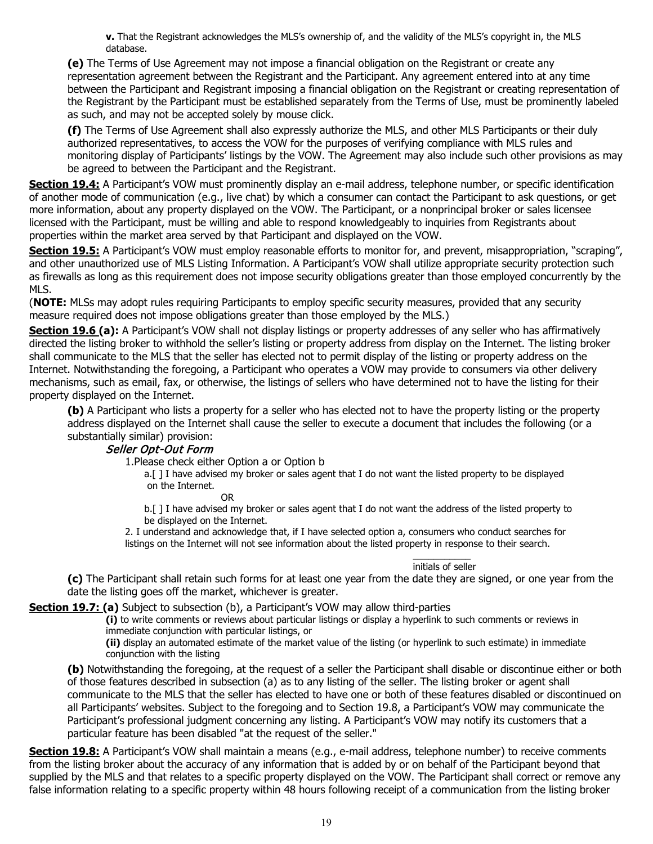**v.** That the Registrant acknowledges the MLS's ownership of, and the validity of the MLS's copyright in, the MLS database.

**(e)** The Terms of Use Agreement may not impose a financial obligation on the Registrant or create any representation agreement between the Registrant and the Participant. Any agreement entered into at any time between the Participant and Registrant imposing a financial obligation on the Registrant or creating representation of the Registrant by the Participant must be established separately from the Terms of Use, must be prominently labeled as such, and may not be accepted solely by mouse click.

**(f)** The Terms of Use Agreement shall also expressly authorize the MLS, and other MLS Participants or their duly authorized representatives, to access the VOW for the purposes of verifying compliance with MLS rules and monitoring display of Participants' listings by the VOW. The Agreement may also include such other provisions as may be agreed to between the Participant and the Registrant.

**Section 19.4:** A Participant's VOW must prominently display an e-mail address, telephone number, or specific identification of another mode of communication (e.g., live chat) by which a consumer can contact the Participant to ask questions, or get more information, about any property displayed on the VOW. The Participant, or a nonprincipal broker or sales licensee licensed with the Participant, must be willing and able to respond knowledgeably to inquiries from Registrants about properties within the market area served by that Participant and displayed on the VOW.

**Section 19.5:** A Participant's VOW must employ reasonable efforts to monitor for, and prevent, misappropriation, "scraping", and other unauthorized use of MLS Listing Information. A Participant's VOW shall utilize appropriate security protection such as firewalls as long as this requirement does not impose security obligations greater than those employed concurrently by the MLS.

(**NOTE:** MLSs may adopt rules requiring Participants to employ specific security measures, provided that any security measure required does not impose obligations greater than those employed by the MLS.)

**Section 19.6 (a):** A Participant's VOW shall not display listings or property addresses of any seller who has affirmatively directed the listing broker to withhold the seller's listing or property address from display on the Internet. The listing broker shall communicate to the MLS that the seller has elected not to permit display of the listing or property address on the Internet. Notwithstanding the foregoing, a Participant who operates a VOW may provide to consumers via other delivery mechanisms, such as email, fax, or otherwise, the listings of sellers who have determined not to have the listing for their property displayed on the Internet.

**(b)** A Participant who lists a property for a seller who has elected not to have the property listing or the property address displayed on the Internet shall cause the seller to execute a document that includes the following (or a substantially similar) provision:

#### Seller Opt-Out Form

1.Please check either Option a or Option b

a.[ ] I have advised my broker or sales agent that I do not want the listed property to be displayed on the Internet.

OR

b.[ ] I have advised my broker or sales agent that I do not want the address of the listed property to be displayed on the Internet.

2. I understand and acknowledge that, if I have selected option a, consumers who conduct searches for listings on the Internet will not see information about the listed property in response to their search.

#### \_\_\_\_\_\_\_\_\_\_\_ initials of seller

**(c)** The Participant shall retain such forms for at least one year from the date they are signed, or one year from the date the listing goes off the market, whichever is greater.

**Section 19.7: (a)** Subject to subsection (b), a Participant's VOW may allow third-parties

**(i)** to write comments or reviews about particular listings or display a hyperlink to such comments or reviews in immediate conjunction with particular listings, or

**(ii)** display an automated estimate of the market value of the listing (or hyperlink to such estimate) in immediate conjunction with the listing

**(b)** Notwithstanding the foregoing, at the request of a seller the Participant shall disable or discontinue either or both of those features described in subsection (a) as to any listing of the seller. The listing broker or agent shall communicate to the MLS that the seller has elected to have one or both of these features disabled or discontinued on all Participants' websites. Subject to the foregoing and to Section 19.8, a Participant's VOW may communicate the Participant's professional judgment concerning any listing. A Participant's VOW may notify its customers that a particular feature has been disabled "at the request of the seller."

**Section 19.8:** A Participant's VOW shall maintain a means (e.g., e-mail address, telephone number) to receive comments from the listing broker about the accuracy of any information that is added by or on behalf of the Participant beyond that supplied by the MLS and that relates to a specific property displayed on the VOW. The Participant shall correct or remove any false information relating to a specific property within 48 hours following receipt of a communication from the listing broker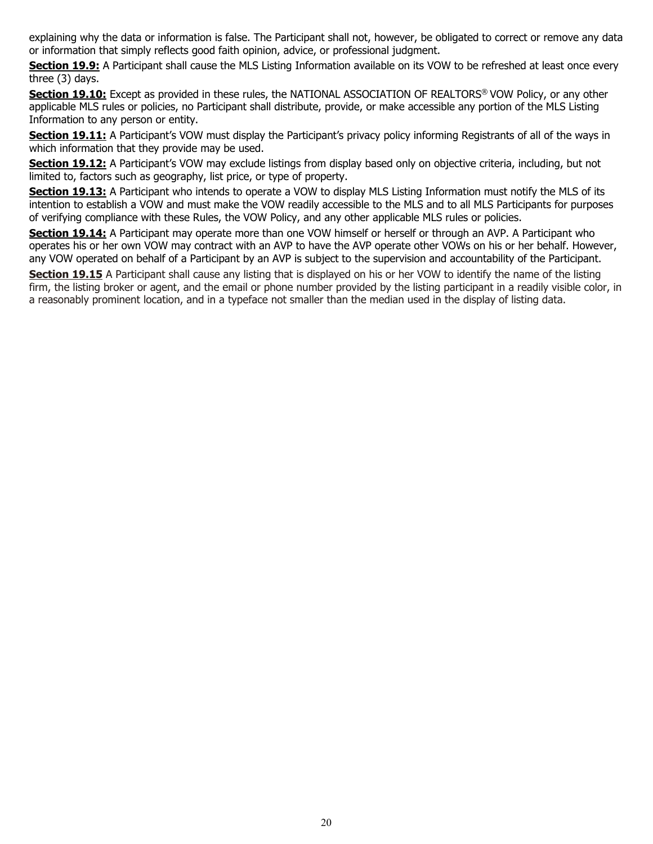explaining why the data or information is false. The Participant shall not, however, be obligated to correct or remove any data or information that simply reflects good faith opinion, advice, or professional judgment.

**Section 19.9:** A Participant shall cause the MLS Listing Information available on its VOW to be refreshed at least once every three (3) days.

**Section 19.10:** Except as provided in these rules, the NATIONAL ASSOCIATION OF REALTORS<sup>®</sup> VOW Policy, or any other applicable MLS rules or policies, no Participant shall distribute, provide, or make accessible any portion of the MLS Listing Information to any person or entity.

**Section 19.11:** A Participant's VOW must display the Participant's privacy policy informing Registrants of all of the ways in which information that they provide may be used.

**Section 19.12:** A Participant's VOW may exclude listings from display based only on objective criteria, including, but not limited to, factors such as geography, list price, or type of property.

**Section 19.13:** A Participant who intends to operate a VOW to display MLS Listing Information must notify the MLS of its intention to establish a VOW and must make the VOW readily accessible to the MLS and to all MLS Participants for purposes of verifying compliance with these Rules, the VOW Policy, and any other applicable MLS rules or policies.

**Section 19.14:** A Participant may operate more than one VOW himself or herself or through an AVP. A Participant who operates his or her own VOW may contract with an AVP to have the AVP operate other VOWs on his or her behalf. However, any VOW operated on behalf of a Participant by an AVP is subject to the supervision and accountability of the Participant.

**Section 19.15** A Participant shall cause any listing that is displayed on his or her VOW to identify the name of the listing firm, the listing broker or agent, and the email or phone number provided by the listing participant in a readily visible color, in a reasonably prominent location, and in a typeface not smaller than the median used in the display of listing data.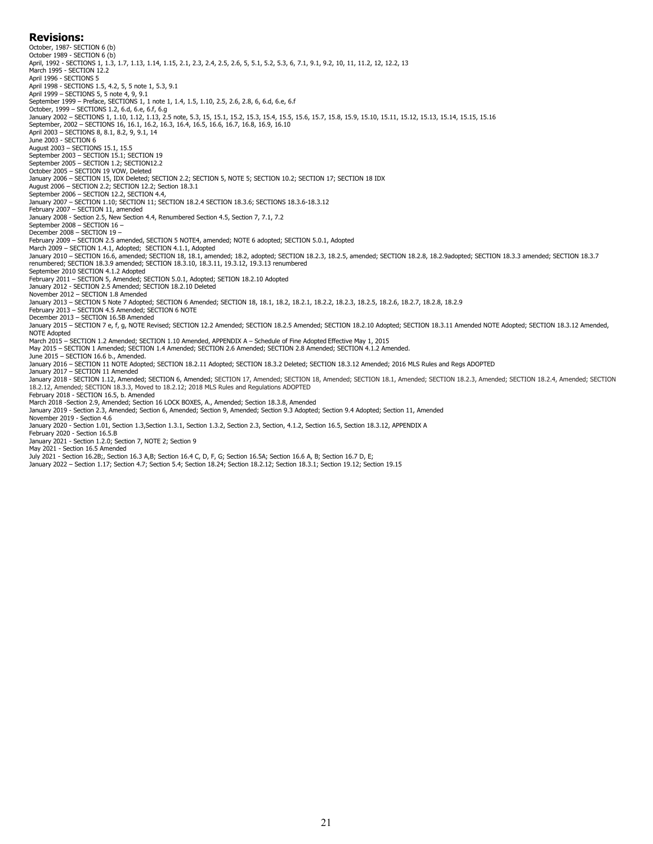#### **Revisions:**

October, 1987- SECTION 6 (b)<br>October 1989 - SECTION 6 (b) October 1989 - SECTION 6 (b)<br>April, 1992 - SECTIONS 1, 1.3, 1.7, 1.13, 1.14, 1.15, 2.1, 2.3, 2.4, 2.5, 2.6, 5, 5.1, 5.2, 5.3, 6, 7.1, 9.1, 9.2, 10, 11, 11.2, 12, 12.2, 13<br>March 1995 - SECTION 12.2 April 1996 - SECTIONS 5 April 1998 - SECTIONS 1.5, 4.2, 5, 5 note 1, 5.3, 9.1 April 1999 – SECTIONS 5, 5 note 4, 9, 9.1 September 1999 – Preface, SECTIONS 1, 1 note 1, 1.4, 1.5, 1.10, 2.5, 2.6, 2.8, 6, 6.d, 6.e, 6.f October, 1999 – SECTIONS 1.2, 6.d, 6.e, 6.f, 6.g<br>January 2002 – SECTIONS 1, 1.10, 1.12, 1.13, 2.5 note, 5.3, 15, 15.1, 15.2, 15.3, 15.4, 15.5, 15.6, 15.7, 15.8, 15.9, 15.10, 15.11, 15.12, 15.13, 15.14, 15.15, 15.16 September, 2002 – SECTIONS 16, 16.1, 16.2, 16.3, 16.4, 16.5, 16.6, 16.7, 16.8, 16.9, 16.10<br>April 2003 – SECTIONS 8, 8.1, 8.2, 9, 9.1, 14<br>June 2003 - SECTION 6 August 2003 – SECTIONS 15.1, 15.5 September 2003 – SECTION 15.1; SECTION 19 September 2005 – SECTION 1.2; SECTION12.2 October 2005 – SECTION 19 VOW, Deleted January 2006 – SECTION 15, IDX Deleted; SECTION 2.2; SECTION 5, NOTE 5; SECTION 10.2; SECTION 17; SECTION 18 IDX<br>August 2006 – SECTION 2.2; SECTION 12.2; Section 18.3.1 September 2006 – SECTION 12.2, SECTION 4.4, January 2007 – SECTION 1.10; SECTION 11; SECTION 18.2.4 SECTION 18.3.6; SECTIONS 18.3.6-18.3.12 February 2007 – SECTION 11, amended January 2008 - Section 2.5, New Section 4.4, Renumbered Section 4.5, Section 7, 7.1, 7.2 September 2008 – SECTION 16 – December 2008 – SECTION 19 –<br>February 2009 – SECTION 2.5 amended, SECTION 5 NOTE4, amended; NOTE 6 adopted; SECTION 5.0.1, Adopted<br>March 2009 – SECTION 1.4.1, Adopted; SECTION 4.1.1, Adopted<br>January 2010 – SECTION 16.6, a renumbered; SECTION 18.3.9 amended; SECTION 18.3.10, 18.3.11, 19.3.12, 19.3.13 renumbered September 2010 SECTION 4.1.2 Adopted February 2011 – SECTION 5, Amended; SECTION 5.0.1, Adopted; SETION 18.2.10 Adopted January 2012 - SECTION 2.5 Amended; SECTION 18.2.10 Deleted November 2012 – SECTION 1.8 Amended January 2013 – SECTION 5 Note 7 Adopted; SECTION 6 Amended; SECTION 18, 18.1, 18.2, 18.2.1, 18.2.2, 18.2.3, 18.2.5, 18.2.6, 18.2.7, 18.2.8, 18.2.9 February 2013 – SECTION 4.5 Amended; SECTION 6 NOTE December 2013 – SECTION 16.5B Amended January 2015 - SECTION 7 e, f, g, NOTE Revised; SECTION 12.2 Amended; SECTION 18.2.5 Amended; SECTION 18.3.10 Adopted; SECTION 18.3.11 Amended NOTE Adopted; SECTION 18.3.12 Amended, NOTE Adopted March 2015 – SECTION 1.2 Amended; SECTION 1.10 Amended, APPENDIX A – Schedule of Fine Adopted Effective May 1, 2015 May 2015 – SECTION 1 Amended; SECTION 1.4 Amended; SECTION 2.6 Amended; SECTION 2.8 Amended; SECTION 4.1.2 Amended. June 2015 – SECTION 16.6 b., Amended.<br>January 2016 – SECTION 11 NOTE Adopted; SECTION 18.2.11 Adopted; SECTION 18.3.2 Deleted; SECTION 18.3.12 Amended; 2016 MLS Rules and Regs ADOPTED<br>January 2017 – SECTION 11 Amended January 2018 - SECTION 1.12, Amended; SECTION 6, Amended; SECTION 17, Amended; SECTION 18, Amended; SECTION 18.1, Amended; SECTION 18.2.3, Amended; SECTION 18.2.4, Amended; SECTION 18.2.12, Amended; SECTION 18.3.3, Moved to 18.2.12; 2018 MLS Rules and Regulations ADOPTED February 2018 - SECTION 16.5, b. Amended March 2018 -Section 2.9, Amended; Section 16 LOCK BOXES, A., Amended; Section 18.3.8, Amended January 2019 - Section 2.3, Amended; Section 6, Amended; Section 9, Amended; Section 9.3 Adopted; Section 9.4 Adopted; Section 11, Amended November 2019 - Section 4.6 January 2020 - Section 1.01, Section 1.3,Section 1.3.1, Section 1.3.2, Section 2.3, Section, 4.1.2, Section 16.5, Section 18.3.12, APPENDIX A February 2020 - Section 16.5.B January 2021 - Section 1.2.0; Section 7, NOTE 2; Section 9 May 2021 - Section 16.5 Amended July 2021 - Section 16.2B;, Section 16.3 A,B; Section 16.4 C, D, F, G; Section 16.5A; Section 16.6 A, B; Section 16.7 D, E; January 2022 – Section 1.17; Section 4.7; Section 5.4; Section 18.24; Section 18.2.12; Section 18.3.1; Section 19.12; Section 19.15